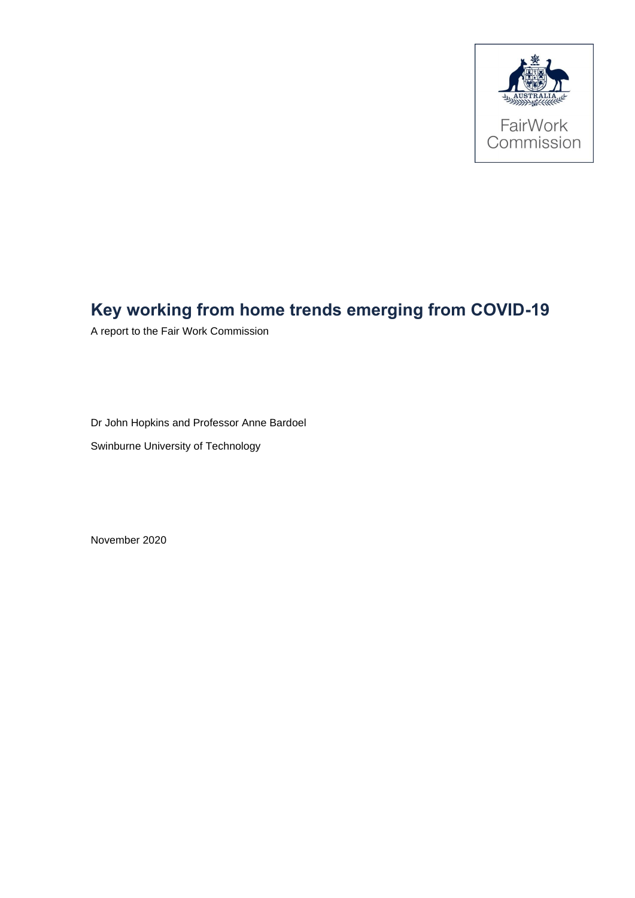

# **Key working from home trends emerging from COVID-19**

A report to the Fair Work Commission

Dr John Hopkins and Professor Anne Bardoel

Swinburne University of Technology

November 2020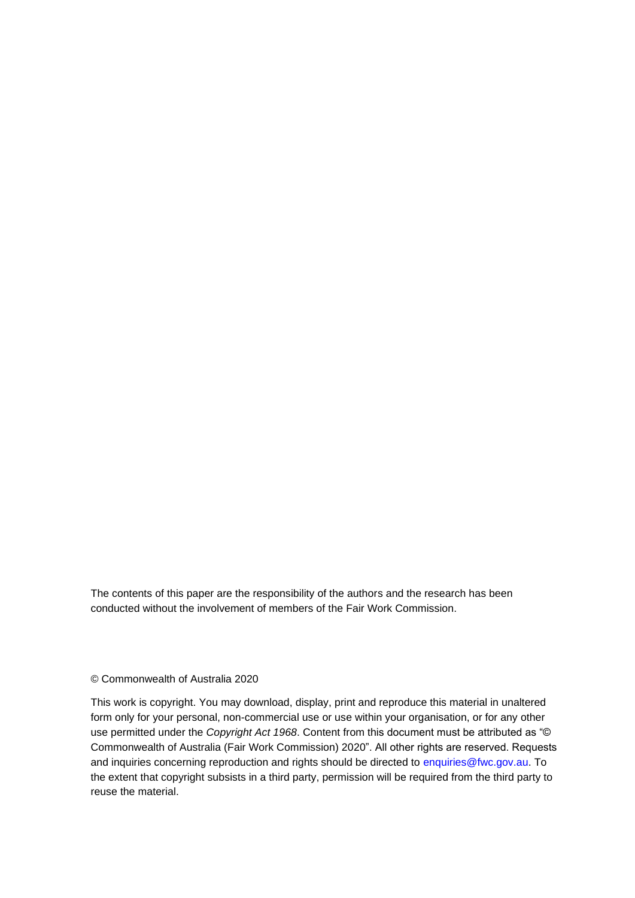The contents of this paper are the responsibility of the authors and the research has been conducted without the involvement of members of the Fair Work Commission.

#### © Commonwealth of Australia 2020

This work is copyright. You may download, display, print and reproduce this material in unaltered form only for your personal, non-commercial use or use within your organisation, or for any other use permitted under the *Copyright Act 1968*. Content from this document must be attributed as "© Commonwealth of Australia (Fair Work Commission) 2020". All other rights are reserved. Requests and inquiries concerning reproduction and rights should be directed to enquiries@fwc.gov.au. To the extent that copyright subsists in a third party, permission will be required from the third party to reuse the material.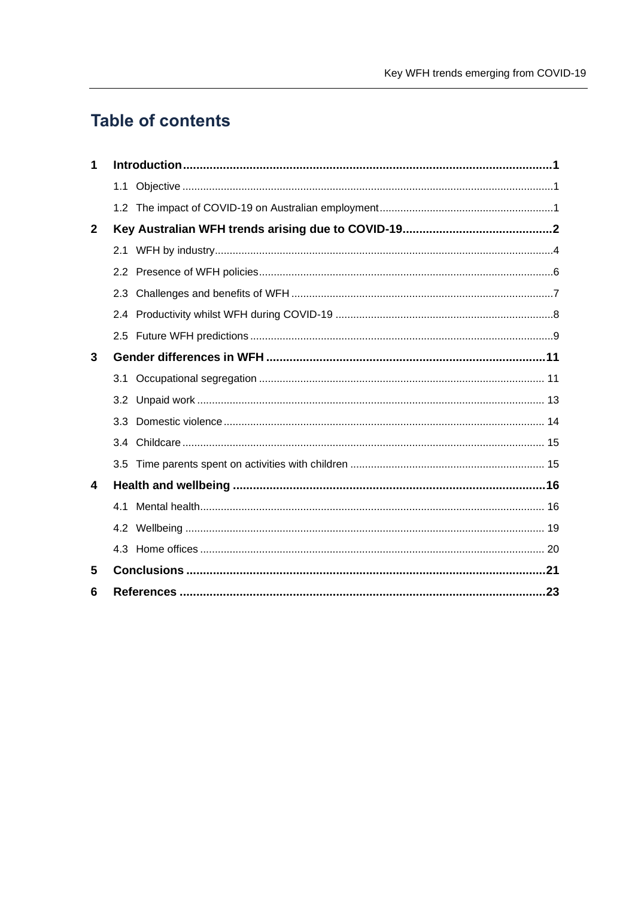# **Table of contents**

| 1            |     |  |  |  |
|--------------|-----|--|--|--|
|              |     |  |  |  |
|              |     |  |  |  |
| $\mathbf{2}$ |     |  |  |  |
|              | 2.1 |  |  |  |
|              |     |  |  |  |
|              | 2.3 |  |  |  |
|              | 2.4 |  |  |  |
|              |     |  |  |  |
| 3            |     |  |  |  |
|              | 3.1 |  |  |  |
|              |     |  |  |  |
|              | 3.3 |  |  |  |
|              |     |  |  |  |
|              |     |  |  |  |
| 4            |     |  |  |  |
|              | 4 1 |  |  |  |
|              |     |  |  |  |
|              |     |  |  |  |
| 5            |     |  |  |  |
| 6            |     |  |  |  |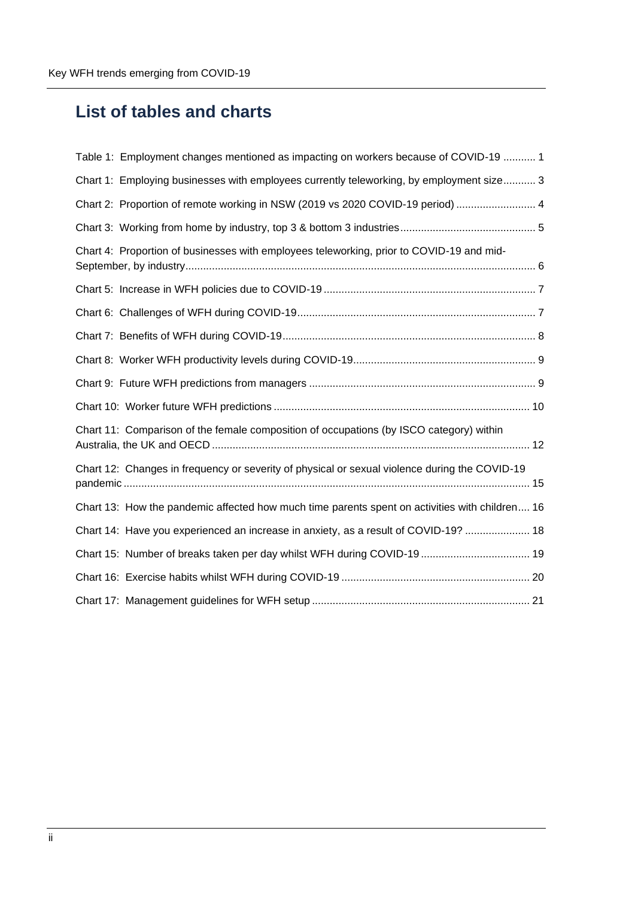# **List of tables and charts**

| Table 1: Employment changes mentioned as impacting on workers because of COVID-19  1           |
|------------------------------------------------------------------------------------------------|
| Chart 1: Employing businesses with employees currently teleworking, by employment size 3       |
| Chart 2: Proportion of remote working in NSW (2019 vs 2020 COVID-19 period)  4                 |
|                                                                                                |
| Chart 4: Proportion of businesses with employees teleworking, prior to COVID-19 and mid-       |
|                                                                                                |
|                                                                                                |
|                                                                                                |
|                                                                                                |
|                                                                                                |
|                                                                                                |
| Chart 11: Comparison of the female composition of occupations (by ISCO category) within        |
| Chart 12: Changes in frequency or severity of physical or sexual violence during the COVID-19  |
| Chart 13: How the pandemic affected how much time parents spent on activities with children 16 |
| Chart 14: Have you experienced an increase in anxiety, as a result of COVID-19?  18            |
| Chart 15: Number of breaks taken per day whilst WFH during COVID-19 19                         |
|                                                                                                |
|                                                                                                |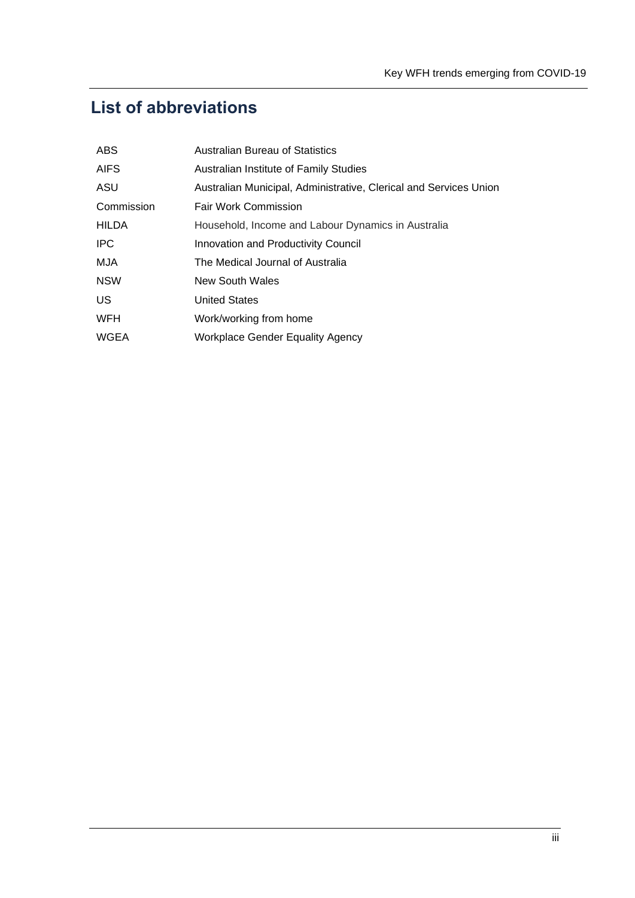# **List of abbreviations**

| <b>ABS</b>   | <b>Australian Bureau of Statistics</b>                            |
|--------------|-------------------------------------------------------------------|
| <b>AIFS</b>  | Australian Institute of Family Studies                            |
| ASU          | Australian Municipal, Administrative, Clerical and Services Union |
| Commission   | <b>Fair Work Commission</b>                                       |
| <b>HILDA</b> | Household, Income and Labour Dynamics in Australia                |
| <b>IPC</b>   | <b>Innovation and Productivity Council</b>                        |
| MJA          | The Medical Journal of Australia                                  |
| <b>NSW</b>   | New South Wales                                                   |
| US           | <b>United States</b>                                              |
| <b>WFH</b>   | Work/working from home                                            |
| <b>WGEA</b>  | <b>Workplace Gender Equality Agency</b>                           |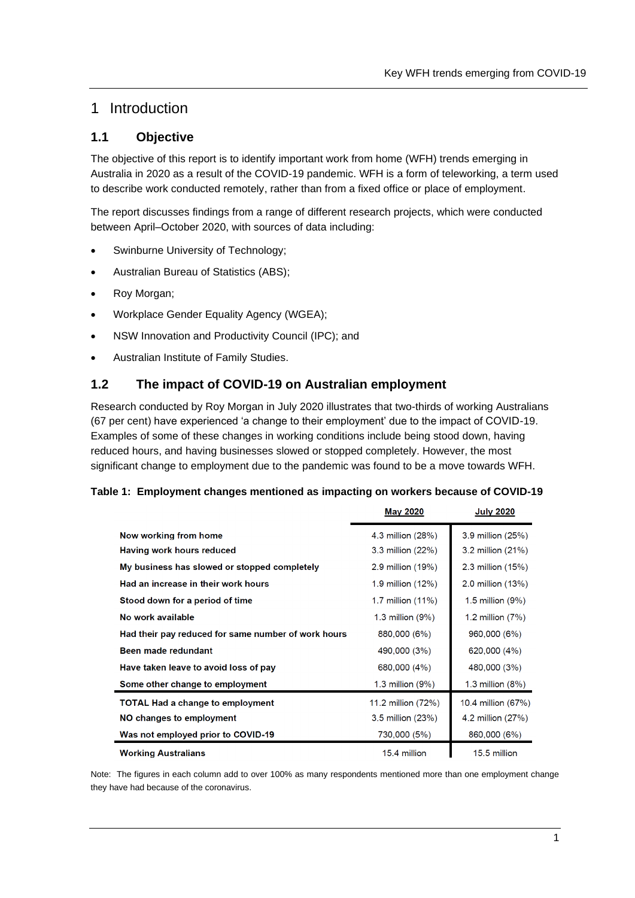## 1 Introduction

## **1.1 Objective**

The objective of this report is to identify important work from home (WFH) trends emerging in Australia in 2020 as a result of the COVID-19 pandemic. WFH is a form of teleworking, a term used to describe work conducted remotely, rather than from a fixed office or place of employment.

The report discusses findings from a range of different research projects, which were conducted between April–October 2020, with sources of data including:

- Swinburne University of Technology;
- Australian Bureau of Statistics (ABS);
- Roy Morgan;
- Workplace Gender Equality Agency (WGEA);
- NSW Innovation and Productivity Council (IPC); and
- Australian Institute of Family Studies.

## **1.2 The impact of COVID-19 on Australian employment**

Research conducted by Roy Morgan in July 2020 illustrates that two-thirds of working Australians (67 per cent) have experienced 'a change to their employment' due to the impact of COVID-19. Examples of some of these changes in working conditions include being stood down, having reduced hours, and having businesses slowed or stopped completely. However, the most significant change to employment due to the pandemic was found to be a move towards WFH.

#### <span id="page-5-0"></span>**Table 1: Employment changes mentioned as impacting on workers because of COVID-19**

|                                                     | <b>May 2020</b>       | <b>July 2020</b>      |
|-----------------------------------------------------|-----------------------|-----------------------|
| Now working from home                               | 4.3 million (28%)     | 3.9 million (25%)     |
| Having work hours reduced                           | 3.3 million (22%)     | 3.2 million (21%)     |
| My business has slowed or stopped completely        | 2.9 million (19%)     | $2.3$ million $(15%)$ |
| Had an increase in their work hours                 | 1.9 million (12%)     | 2.0 million (13%)     |
| Stood down for a period of time                     | 1.7 million (11%)     | $1.5$ million $(9\%)$ |
| No work available                                   | $1.3$ million $(9\%)$ | 1.2 million $(7%)$    |
| Had their pay reduced for same number of work hours | 880,000 (6%)          | 960,000 (6%)          |
| Been made redundant                                 | 490,000 (3%)          | 620,000 (4%)          |
| Have taken leave to avoid loss of pay               | 680,000 (4%)          | 480,000 (3%)          |
| Some other change to employment                     | 1.3 million (9%)      | 1.3 million $(8%)$    |
| <b>TOTAL Had a change to employment</b>             | 11.2 million (72%)    | 10.4 million (67%)    |
| NO changes to employment                            | 3.5 million (23%)     | 4.2 million (27%)     |
| Was not employed prior to COVID-19                  | 730,000 (5%)          | 860,000 (6%)          |
| <b>Working Australians</b>                          | 15.4 million          | 15.5 million          |

Note: The figures in each column add to over 100% as many respondents mentioned more than one employment change they have had because of the coronavirus.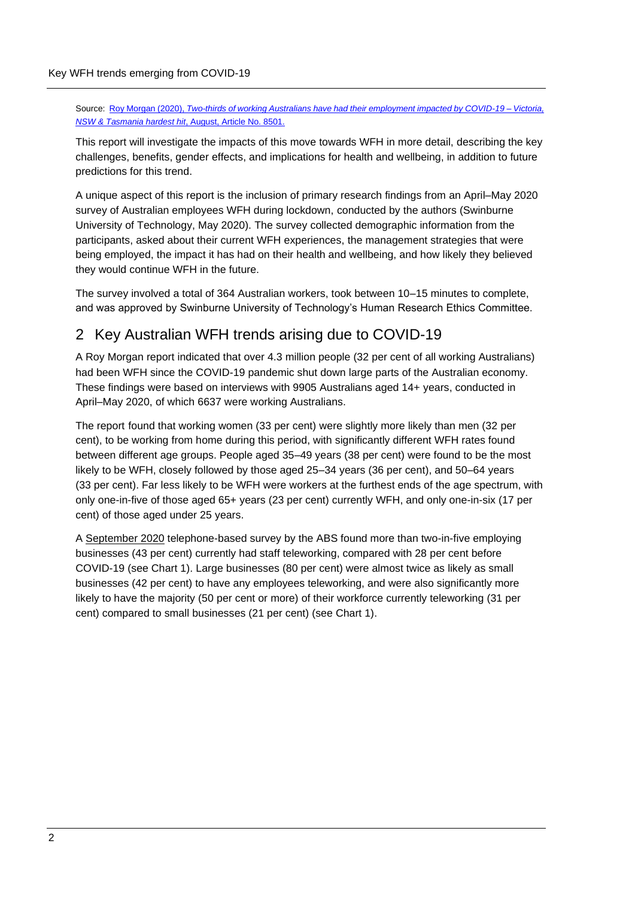Source: Roy Morgan (2020), *[Two-thirds of working Australians have had their employment impacted by COVID-19 –](http://www.roymorgan.com/findings/8501-roy-morgan-coronavirus-crisis-impact-on-employment-july-2020-202008250212) Victoria, [NSW & Tasmania hardest hit](http://www.roymorgan.com/findings/8501-roy-morgan-coronavirus-crisis-impact-on-employment-july-2020-202008250212)*, August, Article No. 8501.

This report will investigate the impacts of this move towards WFH in more detail, describing the key challenges, benefits, gender effects, and implications for health and wellbeing, in addition to future predictions for this trend.

A unique aspect of this report is the inclusion of primary research findings from an April–May 2020 survey of Australian employees WFH during lockdown, conducted by the authors (Swinburne University of Technology, May 2020). The survey collected demographic information from the participants, asked about their current WFH experiences, the management strategies that were being employed, the impact it has had on their health and wellbeing, and how likely they believed they would continue WFH in the future.

The survey involved a total of 364 Australian workers, took between 10–15 minutes to complete, and was approved by Swinburne University of Technology's Human Research Ethics Committee.

## 2 Key Australian WFH trends arising due to COVID-19

A Roy Morgan report indicated that over 4.3 million people (32 per cent of all working Australians) had been WFH since the COVID-19 pandemic shut down large parts of the Australian economy. These findings were based on interviews with 9905 Australians aged 14+ years, conducted in April–May 2020, of which 6637 were working Australians.

The report found that working women (33 per cent) were slightly more likely than men (32 per cent), to be working from home during this period, with significantly different WFH rates found between different age groups. People aged 35–49 years (38 per cent) were found to be the most likely to be WFH, closely followed by those aged 25–34 years (36 per cent), and 50–64 years (33 per cent). Far less likely to be WFH were workers at the furthest ends of the age spectrum, with only one-in-five of those aged 65+ years (23 per cent) currently WFH, and only one-in-six (17 per cent) of those aged under 25 years.

A [September 2020](https://www.abs.gov.au/statistics/economy/business-indicators/business-indicators-business-impacts-covid-19/latest-release#teleworking-and-expected-changes-to-working-hours) telephone-based survey by the ABS found more than two-in-five employing businesses (43 per cent) currently had staff teleworking, compared with 28 per cent before COVID-19 (see Chart 1). Large businesses (80 per cent) were almost twice as likely as small businesses (42 per cent) to have any employees teleworking, and were also significantly more likely to have the majority (50 per cent or more) of their workforce currently teleworking (31 per cent) compared to small businesses (21 per cent) (see Chart 1).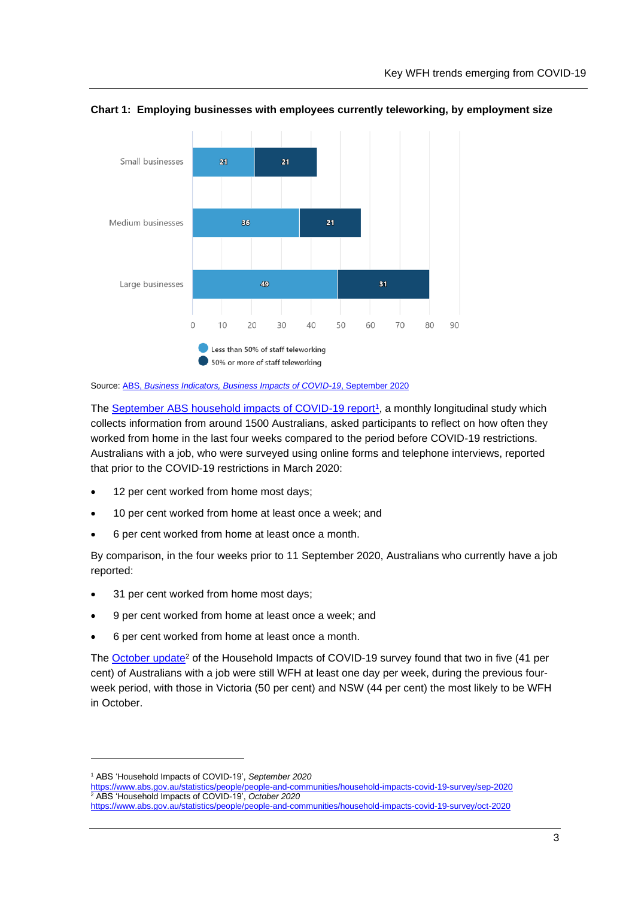

<span id="page-7-0"></span>**Chart 1: Employing businesses with employees currently teleworking, by employment size**

Source: ABS, *[Business Indicators, Business Impacts of COVID-19](https://www.abs.gov.au/statistics/economy/business-indicators/business-indicators-business-impacts-covid-19/sep-2020)*, September 2020

The September [ABS household impacts of COVID-19 report](https://www.abs.gov.au/statistics/people/people-and-communities/household-impacts-covid-19-survey/sep-2020)<sup>1</sup>, a monthly longitudinal study which collects information from around 1500 Australians, asked participants to reflect on how often they worked from home in the last four weeks compared to the period before COVID-19 restrictions. Australians with a job, who were surveyed using online forms and telephone interviews, reported that prior to the COVID-19 restrictions in March 2020:

- 12 per cent worked from home most days;
- 10 per cent worked from home at least once a week; and
- 6 per cent worked from home at least once a month.

By comparison, in the four weeks prior to 11 September 2020, Australians who currently have a job reported:

- 31 per cent worked from home most days;
- 9 per cent worked from home at least once a week; and
- 6 per cent worked from home at least once a month.

The [October update](https://www.abs.gov.au/statistics/people/people-and-communities/household-impacts-covid-19-survey/oct-2020)<sup>2</sup> of the Household Impacts of COVID-19 survey found that two in five (41 per cent) of Australians with a job were still WFH at least one day per week, during the previous fourweek period, with those in Victoria (50 per cent) and NSW (44 per cent) the most likely to be WFH in October.

<sup>1</sup> ABS 'Household Impacts of COVID-19', *September 2020*

<https://www.abs.gov.au/statistics/people/people-and-communities/household-impacts-covid-19-survey/sep-2020> <sup>2</sup> ABS 'Household Impacts of COVID-19', *October 2020*  <https://www.abs.gov.au/statistics/people/people-and-communities/household-impacts-covid-19-survey/oct-2020>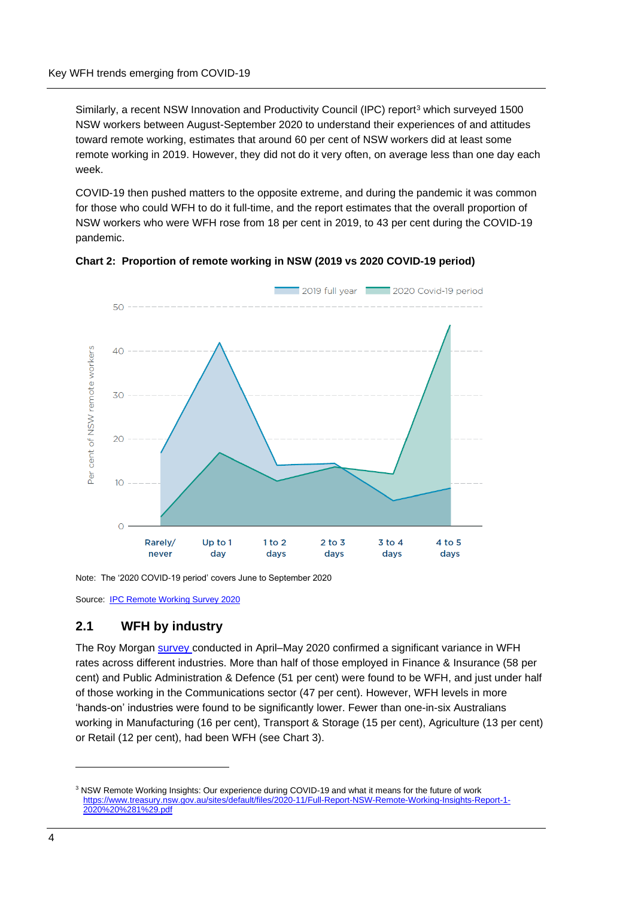Similarly, a recent NSW Innovation and Productivity Council (IPC) report<sup>3</sup> which surveyed 1500 NSW workers between August-September 2020 to understand their experiences of and attitudes toward remote working, estimates that around 60 per cent of NSW workers did at least some remote working in 2019. However, they did not do it very often, on average less than one day each week.

COVID-19 then pushed matters to the opposite extreme, and during the pandemic it was common for those who could WFH to do it full-time, and the report estimates that the overall proportion of NSW workers who were WFH rose from 18 per cent in 2019, to 43 per cent during the COVID-19 pandemic.





Note: The '2020 COVID-19 period' covers June to September 2020

Source: **[IPC Remote Working Survey 2020](https://www.treasury.nsw.gov.au/sites/default/files/2020-11/Full-Report-NSW-Remote-Working-Insights-Report-1-2020%20%281%29.pdf)** 

#### **2.1 WFH by industry**

The Roy Morgan [survey c](http://www.roymorgan.com/~/media/files/findings%20pdf/2020s/2020/june/8451-roy-morgan-working-from-home-june-2020.pdf)onducted in April–May 2020 confirmed a significant variance in WFH rates across different industries. More than half of those employed in Finance & Insurance (58 per cent) and Public Administration & Defence (51 per cent) were found to be WFH, and just under half of those working in the Communications sector (47 per cent). However, WFH levels in more 'hands-on' industries were found to be significantly lower. Fewer than one-in-six Australians working in Manufacturing (16 per cent), Transport & Storage (15 per cent), Agriculture (13 per cent) or Retail (12 per cent), had been WFH (see Chart 3).

<sup>&</sup>lt;sup>3</sup> NSW Remote Working Insights: Our experience during COVID-19 and what it means for the future of work [https://www.treasury.nsw.gov.au/sites/default/files/2020-11/Full-Report-NSW-Remote-Working-Insights-Report-1-](https://www.treasury.nsw.gov.au/sites/default/files/2020-11/Full-Report-NSW-Remote-Working-Insights-Report-1-2020%20%281%29.pdf) [2020%20%281%29.pdf](https://www.treasury.nsw.gov.au/sites/default/files/2020-11/Full-Report-NSW-Remote-Working-Insights-Report-1-2020%20%281%29.pdf)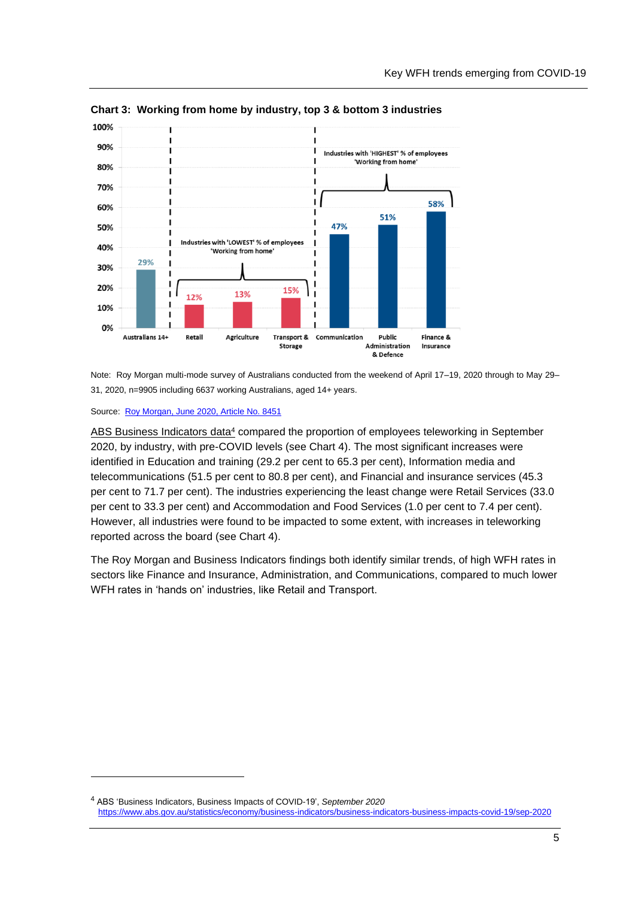

<span id="page-9-0"></span>**Chart 3: Working from home by industry, top 3 & bottom 3 industries**

Note: Roy Morgan multi-mode survey of Australians conducted from the weekend of April 17–19, 2020 through to May 29– 31, 2020, n=9905 including 6637 working Australians, aged 14+ years.

Source: [Roy Morgan, June 2020, Article No. 8451](http://www.roymorgan.com/~/media/files/findings%20pdf/2020s/2020/june/8451-roy-morgan-working-from-home-june-2020.pdf)

<span id="page-9-1"></span>[ABS Business Indicators data](https://www.abs.gov.au/statistics/economy/business-indicators/business-indicators-business-impacts-covid-19/sep-2020)<sup>4</sup> compared the proportion of employees teleworking in September 2020, by industry, with pre-COVID levels (see Chart 4). The most significant increases were identified in Education and training (29.2 per cent to 65.3 per cent), Information media and telecommunications (51.5 per cent to 80.8 per cent), and Financial and insurance services (45.3 per cent to 71.7 per cent). The industries experiencing the least change were Retail Services (33.0 per cent to 33.3 per cent) and Accommodation and Food Services (1.0 per cent to 7.4 per cent). However, all industries were found to be impacted to some extent, with increases in teleworking reported across the board (see Chart 4).

The Roy Morgan and Business Indicators findings both identify similar trends, of high WFH rates in sectors like Finance and Insurance, Administration, and Communications, compared to much lower WFH rates in 'hands on' industries, like Retail and Transport.

<sup>4</sup> ABS 'Business Indicators, Business Impacts of COVID-19', *September 2020*  <https://www.abs.gov.au/statistics/economy/business-indicators/business-indicators-business-impacts-covid-19/sep-2020>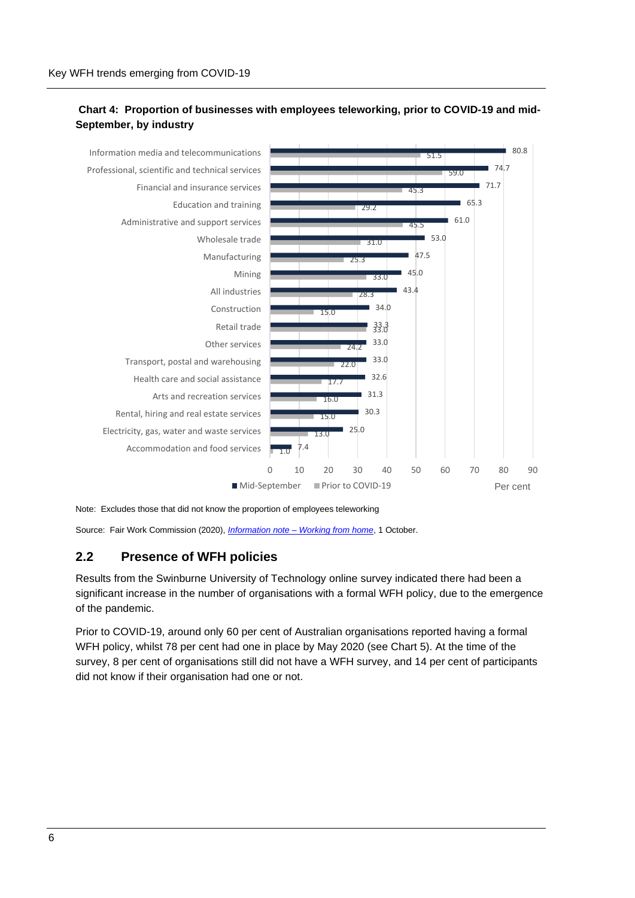#### **Chart 4: Proportion of businesses with employees teleworking, prior to COVID-19 and mid-September, by industry**



Note: Excludes those that did not know the proportion of employees teleworking

Source: Fair Work Commission (2020), *Information note – [Working from home](https://www.fwc.gov.au/documents/documents/resources/covid-19-information/information-note-covid-19-working-from-home-2020-10-01.pdf)*, 1 October.

#### **2.2 Presence of WFH policies**

Results from the Swinburne University of Technology online survey indicated there had been a significant increase in the number of organisations with a formal WFH policy, due to the emergence of the pandemic.

Prior to COVID-19, around only 60 per cent of Australian organisations reported having a formal WFH policy, whilst 78 per cent had one in place by May 2020 (see Chart 5). At the time of the survey, 8 per cent of organisations still did not have a WFH survey, and 14 per cent of participants did not know if their organisation had one or not.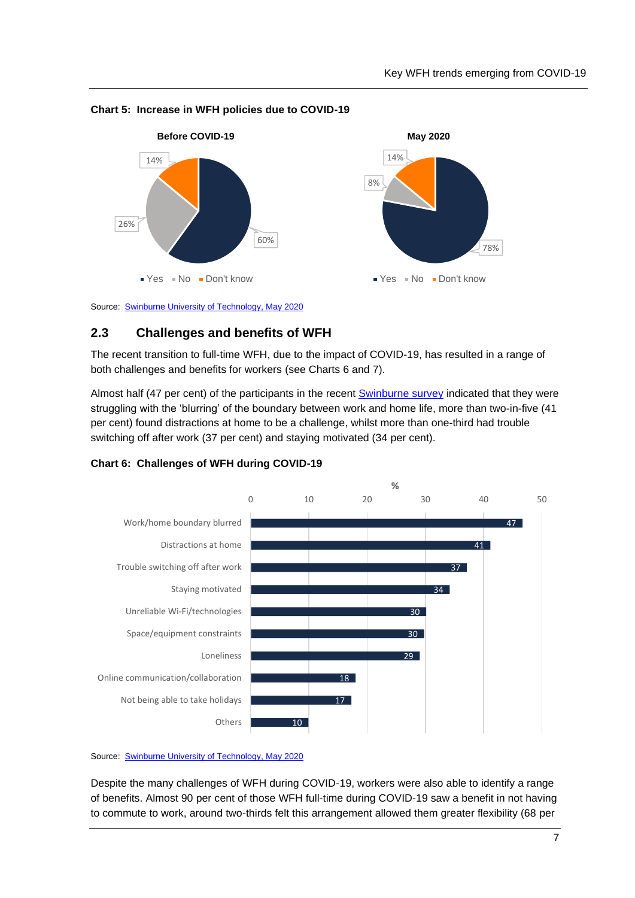



#### <span id="page-11-0"></span>**Chart 5: Increase in WFH policies due to COVID-19**

Source: [Swinburne University of Technology, May](https://workflex.solutions/research) 2020

#### **2.3 Challenges and benefits of WFH**

The recent transition to full-time WFH, due to the impact of COVID-19, has resulted in a range of both challenges and benefits for workers (see Charts 6 and 7).

Almost half (47 per cent) of the participants in the recent [Swinburne survey](https://workflex.solutions/research) indicated that they were struggling with the 'blurring' of the boundary between work and home life, more than two-in-five (41 per cent) found distractions at home to be a challenge, whilst more than one-third had trouble switching off after work (37 per cent) and staying motivated (34 per cent).



<span id="page-11-1"></span>**Chart 6: Challenges of WFH during COVID-19**

Source: [Swinburne University of Technology, May](https://workflex.solutions/research) 2020

Despite the many challenges of WFH during COVID-19, workers were also able to identify a range of benefits. Almost 90 per cent of those WFH full-time during COVID-19 saw a benefit in not having to commute to work, around two-thirds felt this arrangement allowed them greater flexibility (68 per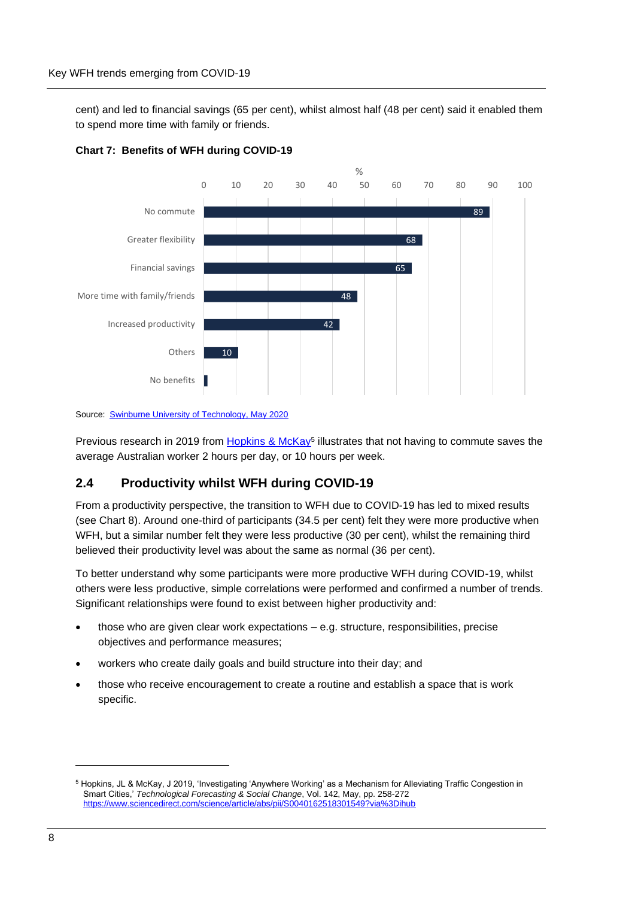cent) and led to financial savings (65 per cent), whilst almost half (48 per cent) said it enabled them to spend more time with family or friends.



<span id="page-12-0"></span>

Source: **[Swinburne University of Technology, May](https://workflex.solutions/research) 2020** 

Previous research in 2019 from [Hopkins & McKay](https://www.sciencedirect.com/science/article/abs/pii/S0040162518301549?via%3Dihub)<sup>5</sup> illustrates that not having to commute saves the average Australian worker 2 hours per day, or 10 hours per week.

#### **2.4 Productivity whilst WFH during COVID-19**

From a productivity perspective, the transition to WFH due to COVID-19 has led to mixed results (see Chart 8). Around one-third of participants (34.5 per cent) felt they were more productive when WFH, but a similar number felt they were less productive (30 per cent), whilst the remaining third believed their productivity level was about the same as normal (36 per cent).

To better understand why some participants were more productive WFH during COVID-19, whilst others were less productive, simple correlations were performed and confirmed a number of trends. Significant relationships were found to exist between higher productivity and:

- those who are given clear work expectations e.g. structure, responsibilities, precise objectives and performance measures;
- workers who create daily goals and build structure into their day; and
- those who receive encouragement to create a routine and establish a space that is work specific.

<sup>5</sup> Hopkins, JL & McKay, J 2019, 'Investigating 'Anywhere Working' as a Mechanism for Alleviating Traffic Congestion in Smart Cities,' *Technological Forecasting & Social Change*, Vol. 142, May, pp. 258-272 <https://www.sciencedirect.com/science/article/abs/pii/S0040162518301549?via%3Dihub>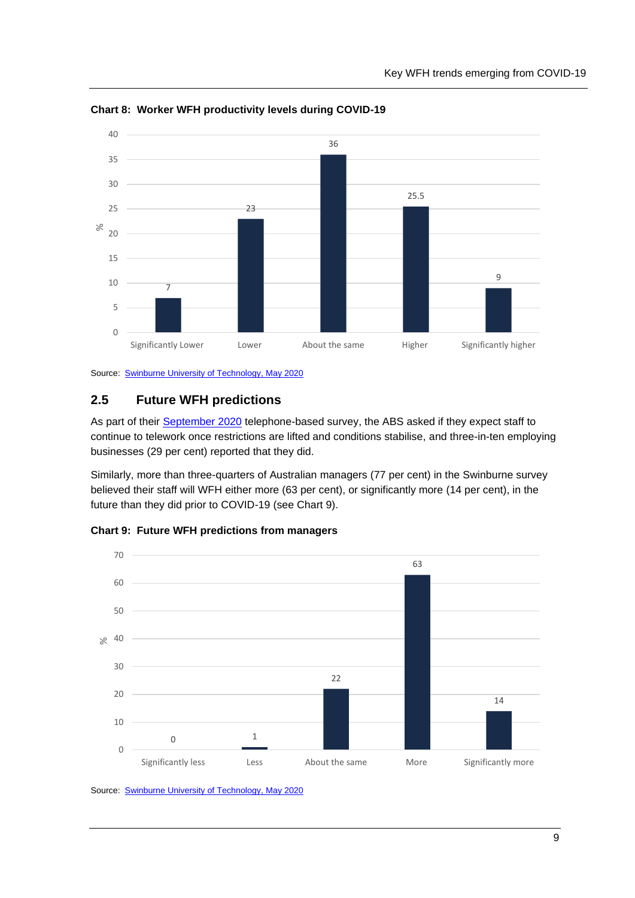

<span id="page-13-0"></span>**Chart 8: Worker WFH productivity levels during COVID-19**

Source: [Swinburne University of Technology, May](https://workflex.solutions/research) 2020

## **2.5 Future WFH predictions**

As part of their [September 2020](https://www.abs.gov.au/statistics/economy/business-indicators/business-indicators-business-impacts-covid-19/latest-release#teleworking-and-expected-changes-to-working-hours) telephone-based survey, the ABS asked if they expect staff to continue to telework once restrictions are lifted and conditions stabilise, and three-in-ten employing businesses (29 per cent) reported that they did.

Similarly, more than three-quarters of Australian managers (77 per cent) in the Swinburne survey believed their staff will WFH either more (63 per cent), or significantly more (14 per cent), in the future than they did prior to COVID-19 (see Chart 9).



<span id="page-13-1"></span>**Chart 9: Future WFH predictions from managers**

Source: [Swinburne University of Technology, May](https://workflex.solutions/research) 2020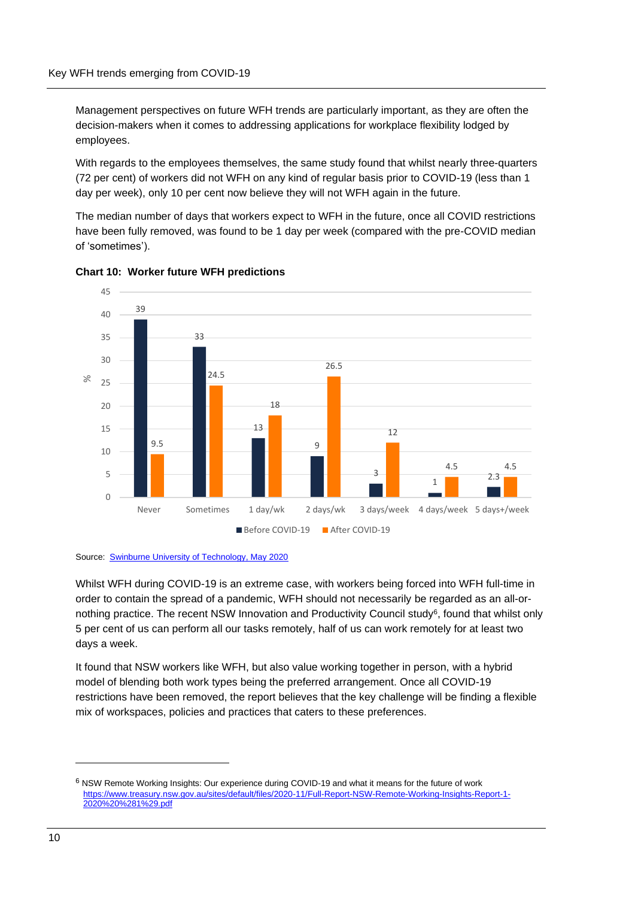Management perspectives on future WFH trends are particularly important, as they are often the decision-makers when it comes to addressing applications for workplace flexibility lodged by employees.

With regards to the employees themselves, the same study found that whilst nearly three-quarters (72 per cent) of workers did not WFH on any kind of regular basis prior to COVID-19 (less than 1 day per week), only 10 per cent now believe they will not WFH again in the future.

The median number of days that workers expect to WFH in the future, once all COVID restrictions have been fully removed, was found to be 1 day per week (compared with the pre-COVID median of 'sometimes').



<span id="page-14-0"></span>



Whilst WFH during COVID-19 is an extreme case, with workers being forced into WFH full-time in order to contain the spread of a pandemic, WFH should not necessarily be regarded as an all-ornothing practice. The recent NSW Innovation and Productivity Council study<sup>6</sup>, found that whilst only 5 per cent of us can perform all our tasks remotely, half of us can work remotely for at least two days a week.

It found that NSW workers like WFH, but also value working together in person, with a hybrid model of blending both work types being the preferred arrangement. Once all COVID-19 restrictions have been removed, the report believes that the key challenge will be finding a flexible mix of workspaces, policies and practices that caters to these preferences.

<sup>6</sup> NSW Remote Working Insights: Our experience during COVID-19 and what it means for the future of work [https://www.treasury.nsw.gov.au/sites/default/files/2020-11/Full-Report-NSW-Remote-Working-Insights-Report-1-](https://www.treasury.nsw.gov.au/sites/default/files/2020-11/Full-Report-NSW-Remote-Working-Insights-Report-1-2020%20%281%29.pdf) [2020%20%281%29.pdf](https://www.treasury.nsw.gov.au/sites/default/files/2020-11/Full-Report-NSW-Remote-Working-Insights-Report-1-2020%20%281%29.pdf)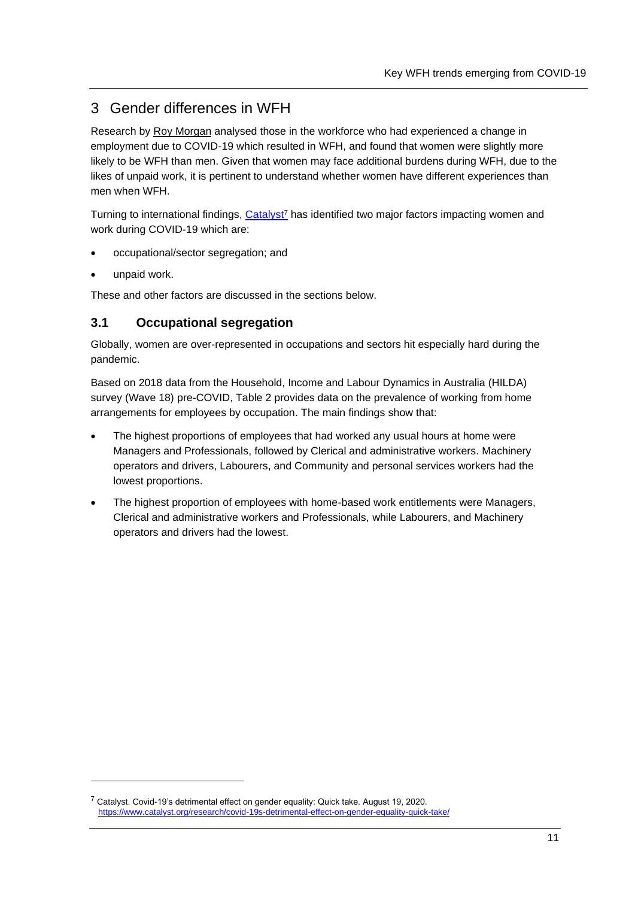# 3 Gender differences in WFH

Research by [Roy Morgan](http://www.roymorgan.com/~/media/files/findings%20pdf/2020s/2020/june/8451-roy-morgan-working-from-home-june-2020.pdf) analysed those in the workforce who had experienced a change in employment due to COVID-19 which resulted in WFH, and found that women were slightly more likely to be WFH than men. Given that women may face additional burdens during WFH, due to the likes of unpaid work, it is pertinent to understand whether women have different experiences than men when WFH.

Turning to international findings, [Catalyst](https://www.catalyst.org/research/covid-19s-detrimental-effect-on-gender-equality-quick-take/)<sup>7</sup> has identified two major factors impacting women and work during COVID-19 which are:

- occupational/sector segregation; and
- unpaid work.

These and other factors are discussed in the sections below.

## **3.1 Occupational segregation**

Globally, women are over-represented in occupations and sectors hit especially hard during the pandemic.

Based on 2018 data from the Household, Income and Labour Dynamics in Australia (HILDA) survey (Wave 18) pre-COVID, Table 2 provides data on the prevalence of working from home arrangements for employees by occupation. The main findings show that:

- The highest proportions of employees that had worked any usual hours at home were Managers and Professionals, followed by Clerical and administrative workers. Machinery operators and drivers, Labourers, and Community and personal services workers had the lowest proportions.
- The highest proportion of employees with home-based work entitlements were Managers, Clerical and administrative workers and Professionals, while Labourers, and Machinery operators and drivers had the lowest.

<sup>&</sup>lt;sup>7</sup> Catalyst. Covid-19's detrimental effect on gender equality: Quick take. August 19, 2020. <https://www.catalyst.org/research/covid-19s-detrimental-effect-on-gender-equality-quick-take/>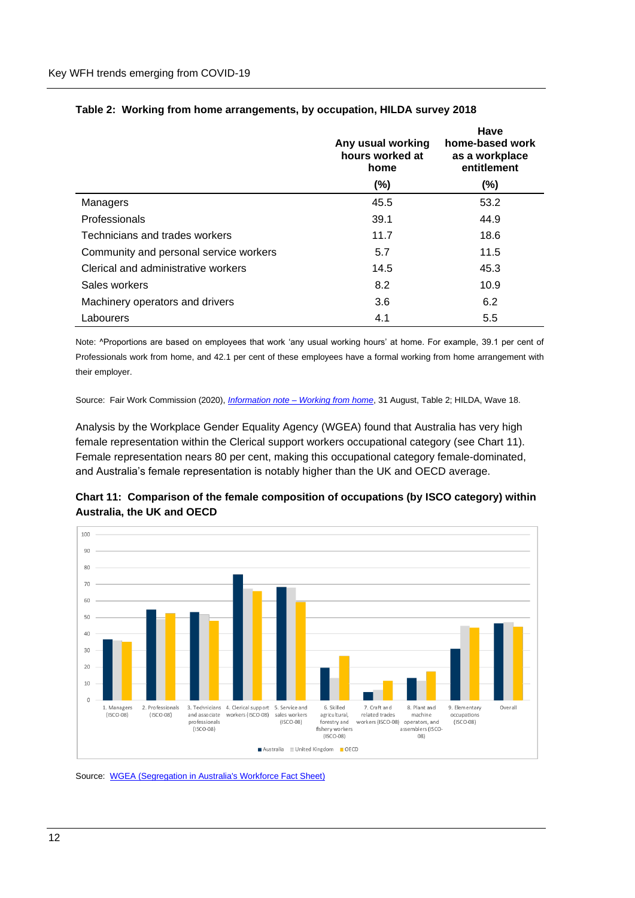|                                        | Any usual working<br>hours worked at<br>home | Have<br>home-based work<br>as a workplace<br>entitlement |
|----------------------------------------|----------------------------------------------|----------------------------------------------------------|
|                                        | $(\% )$                                      | $(\%)$                                                   |
| Managers                               | 45.5                                         | 53.2                                                     |
| Professionals                          | 39.1                                         | 44.9                                                     |
| Technicians and trades workers         | 11.7                                         | 18.6                                                     |
| Community and personal service workers | 5.7                                          | 11.5                                                     |
| Clerical and administrative workers    | 14.5                                         | 45.3                                                     |
| Sales workers                          | 8.2                                          | 10.9                                                     |
| Machinery operators and drivers        | 3.6                                          | 6.2                                                      |
| Labourers                              | 4.1                                          | 5.5                                                      |

#### **Table 2: Working from home arrangements, by occupation, HILDA survey 2018**

Note: ^Proportions are based on employees that work 'any usual working hours' at home. For example, 39.1 per cent of Professionals work from home, and 42.1 per cent of these employees have a formal working from home arrangement with their employer.

Source: Fair Work Commission (2020), *Information note – [Working from home](https://www.fwc.gov.au/documents/documents/resources/covid-19-information/information-note-covid-19-working-from-home-2020-08-31.pdf)*, 31 August, Table 2; HILDA, Wave 18.

Analysis by the Workplace Gender Equality Agency (WGEA) found that Australia has very high female representation within the Clerical support workers occupational category (see Chart 11). Female representation nears 80 per cent, making this occupational category female-dominated, and Australia's female representation is notably higher than the UK and OECD average.



<span id="page-16-0"></span>**Chart 11: Comparison of the female composition of occupations (by ISCO category) within Australia, the UK and OECD**

#### Source: [WGEA \(Segregation in Australia's Workforce Fact Sheet\)](https://www.wgea.gov.au/data/fact-sheets/gender-segregation-in-australias-workforce)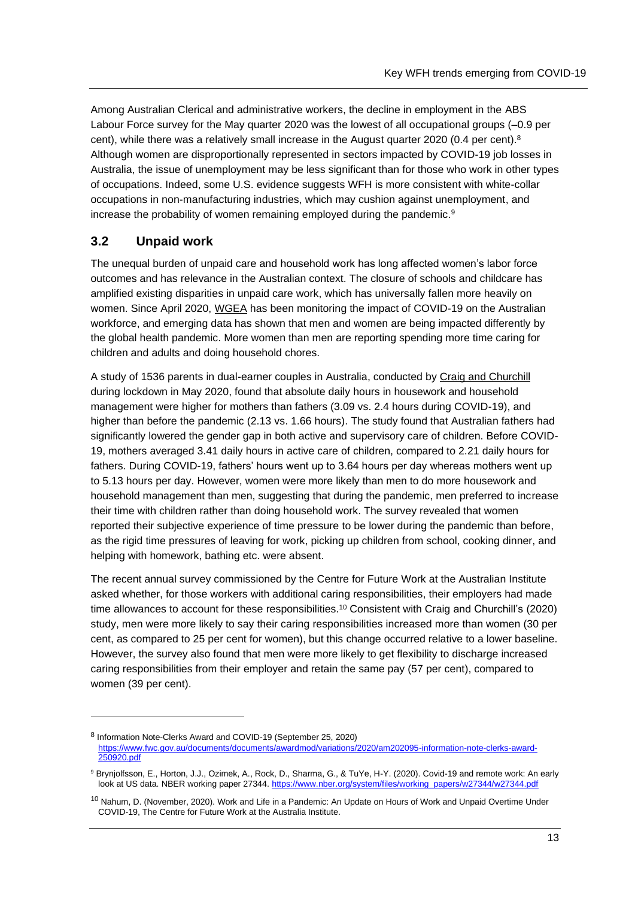Among Australian Clerical and administrative workers, the decline in employment in the ABS Labour Force survey for the May quarter 2020 was the lowest of all occupational groups (–0.9 per cent), while there was a relatively small increase in the August quarter 2020 (0.4 per cent).<sup>8</sup> Although women are disproportionally represented in sectors impacted by COVID-19 job losses in Australia, the issue of unemployment may be less significant than for those who work in other types of occupations. Indeed, some U.S. evidence suggests WFH is more consistent with white-collar occupations in non-manufacturing industries, which may cushion against unemployment, and increase the probability of women remaining employed during the pandemic. 9

## **3.2 Unpaid work**

The unequal burden of unpaid care and household work has long affected women's labor force outcomes and has relevance in the Australian context. The closure of schools and childcare has amplified existing disparities in unpaid care work, which has universally fallen more heavily on women. Since April 2020, [WGEA](ttps://www.wgea.gov.au/topics/gendered-impact-of-covid-19) has been monitoring the impact of COVID-19 on the Australian workforce, and emerging data has shown that men and women are being impacted differently by the global health pandemic. More women than men are reporting spending more time caring for children and adults and doing household chores.

A study of 1536 parents in dual-earner couples in Australia, conducted by [Craig and Churchill](https://doi.org/10.1111/gwao.12497) during lockdown in May 2020, found that absolute daily hours in housework and household management were higher for mothers than fathers (3.09 vs. 2.4 hours during COVID-19), and higher than before the pandemic (2.13 vs. 1.66 hours). The study found that Australian fathers had significantly lowered the gender gap in both active and supervisory care of children. Before COVID-19, mothers averaged 3.41 daily hours in active care of children, compared to 2.21 daily hours for fathers. During COVID-19, fathers' hours went up to 3.64 hours per day whereas mothers went up to 5.13 hours per day. However, women were more likely than men to do more housework and household management than men, suggesting that during the pandemic, men preferred to increase their time with children rather than doing household work. The survey revealed that women reported their subjective experience of time pressure to be lower during the pandemic than before, as the rigid time pressures of leaving for work, picking up children from school, cooking dinner, and helping with homework, bathing etc. were absent.

The recent annual survey commissioned by the Centre for Future Work at the Australian Institute asked whether, for those workers with additional caring responsibilities, their employers had made time allowances to account for these responsibilities.<sup>10</sup> Consistent with Craig and Churchill's (2020) study, men were more likely to say their caring responsibilities increased more than women (30 per cent, as compared to 25 per cent for women), but this change occurred relative to a lower baseline. However, the survey also found that men were more likely to get flexibility to discharge increased caring responsibilities from their employer and retain the same pay (57 per cent), compared to women (39 per cent).

<sup>8</sup> Information Note-Clerks Award and COVID-19 (September 25, 2020) [https://www.fwc.gov.au/documents/documents/awardmod/variations/2020/am202095-information-note-clerks-award-](https://www.fwc.gov.au/documents/documents/awardmod/variations/2020/am202095-information-note-clerks-award-250920.pdf)[250920.pdf](https://www.fwc.gov.au/documents/documents/awardmod/variations/2020/am202095-information-note-clerks-award-250920.pdf)

<sup>9</sup> Brynjolfsson, E., Horton, J.J., Ozimek, A., Rock, D., Sharma, G., & TuYe, H-Y. (2020). Covid-19 and remote work: An early look at US data. NBER working paper 27344. [https://www.nber.org/system/files/working\\_papers/w27344/w27344.pdf](https://www.nber.org/system/files/working_papers/w27344/w27344.pdf)

<sup>&</sup>lt;sup>10</sup> Nahum, D. (November, 2020). Work and Life in a Pandemic: An Update on Hours of Work and Unpaid Overtime Under COVID-19, The Centre for Future Work at the Australia Institute.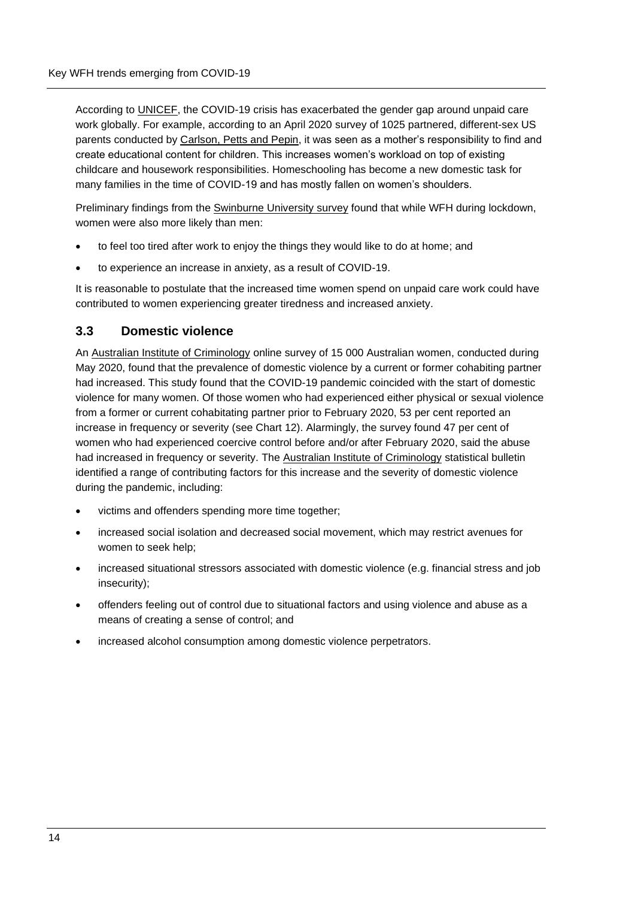According to [UNICEF,](https://blogs.unicef.org/evidence-for-action/caring-in-the-time-of-covid-19-gender-unpaid-care-work-and-social-protection/) the COVID-19 crisis has exacerbated the gender gap around unpaid care work globally. For example, according to an April 2020 survey of 1025 partnered, different-sex US parents conducted by [Carlson, Petts and Pepin,](https://www.google.com/url?sa=t&rct=j&q=&esrc=s&source=web&cd=&ved=2ahUKEwjXvpCissTsAhWGwTgGHVxLD3EQFjAAegQIBRAC&url=https%3A%2F%2Fosf.io%2Fpreprints%2Fsocarxiv%2Fjy8fn%2Fdownload&usg=AOvVaw28AA6Pe_pv_X-2jSXkCPex) it was seen as a mother's responsibility to find and create educational content for children. This increases women's workload on top of existing childcare and housework responsibilities. Homeschooling has become a new domestic task for many families in the time of COVID-19 and has mostly fallen on women's shoulders.

Preliminary findings from the [Swinburne University](https://workflex.solutions/research) survey found that while WFH during lockdown, women were also more likely than men:

- to feel too tired after work to enjoy the things they would like to do at home; and
- to experience an increase in anxiety, as a result of COVID-19.

It is reasonable to postulate that the increased time women spend on unpaid care work could have contributed to women experiencing greater tiredness and increased anxiety.

#### **3.3 Domestic violence**

An [Australian Institute of Criminology](https://www.aic.gov.au/sites/default/files/2020-07/sb28_prevalence_of_domestic_violence_among_women_during_covid-19_pandemic.pdf) online survey of 15 000 Australian women, conducted during May 2020, found that the prevalence of domestic violence by a current or former cohabiting partner had increased. This study found that the COVID-19 pandemic coincided with the start of domestic violence for many women. Of those women who had experienced either physical or sexual violence from a former or current cohabitating partner prior to February 2020, 53 per cent reported an increase in frequency or severity (see Chart 12). Alarmingly, the survey found 47 per cent of women who had experienced coercive control before and/or after February 2020, said the abuse had increased in frequency or severity. The [Australian Institute of Criminology](https://www.aic.gov.au/sites/default/files/2020-07/sb28_prevalence_of_domestic_violence_among_women_during_covid-19_pandemic.pdf) statistical bulletin identified a range of contributing factors for this increase and the severity of domestic violence during the pandemic, including:

- victims and offenders spending more time together;
- increased social isolation and decreased social movement, which may restrict avenues for women to seek help;
- increased situational stressors associated with domestic violence (e.g. financial stress and job insecurity);
- offenders feeling out of control due to situational factors and using violence and abuse as a means of creating a sense of control; and
- increased alcohol consumption among domestic violence perpetrators.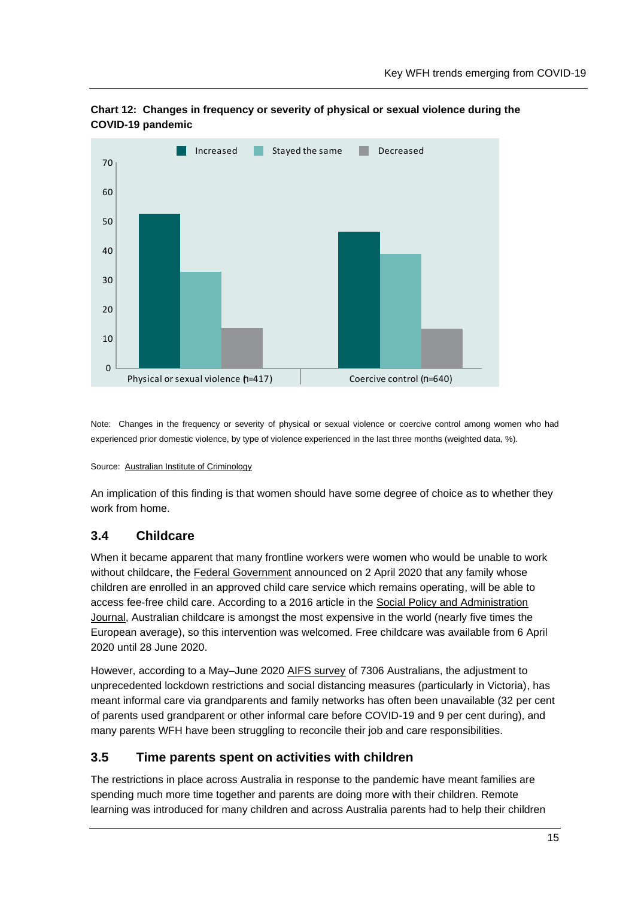

<span id="page-19-0"></span>

Note: Changes in the frequency or severity of physical or sexual violence or coercive control among women who had experienced prior domestic violence, by type of violence experienced in the last three months (weighted data, %).

#### Source: [Australian Institute of Criminology](https://www.aic.gov.au/sites/default/files/2020-07/sb28_prevalence_of_domestic_violence_among_women_during_covid-19_pandemic.pdf)

An implication of this finding is that women should have some degree of choice as to whether they work from home.

## **3.4 Childcare**

When it became apparent that many frontline workers were women who would be unable to work without childcare, the [Federal Government](https://www.aph.gov.au/About_Parliament/Parliamentary_Departments/Parliamentary_Library/FlagPost/2020/April/Coronavirus_response-Free_child_care) announced on 2 April 2020 that any family whose children are enrolled in an approved child care service which remains operating, will be able to access fee-free child care. According to a 2016 article in the [Social Policy and Administration](https://onlinelibrary.wiley.com/doi/abs/10.1111/spol.12250)  [Journal,](https://onlinelibrary.wiley.com/doi/abs/10.1111/spol.12250) Australian childcare is amongst the most expensive in the world (nearly five times the European average), so this intervention was welcomed. Free childcare was available from 6 April 2020 until 28 June 2020.

However, according to a May–June 2020 [AIFS survey](https://aifs.gov.au/sites/default/files/publication-documents/covid-19-survey-report_1_early_findings_0.pdf) of 7306 Australians, the adjustment to unprecedented lockdown restrictions and social distancing measures (particularly in Victoria), has meant informal care via grandparents and family networks has often been unavailable (32 per cent of parents used grandparent or other informal care before COVID-19 and 9 per cent during), and many parents WFH have been struggling to reconcile their job and care responsibilities.

## **3.5 Time parents spent on activities with children**

The restrictions in place across Australia in response to the pandemic have meant families are spending much more time together and parents are doing more with their children. Remote learning was introduced for many children and across Australia parents had to help their children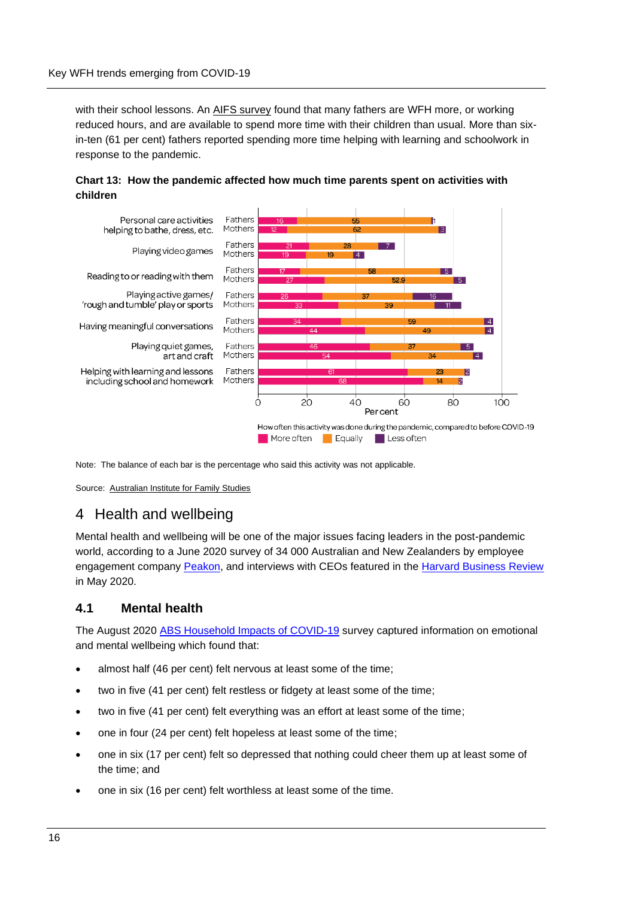with their school lessons. An [AIFS survey](https://aifs.gov.au/sites/default/files/publication-documents/covid-19-survey-report_1_early_findings_0.pdf) found that many fathers are WFH more, or working reduced hours, and are available to spend more time with their children than usual. More than sixin-ten (61 per cent) fathers reported spending more time helping with learning and schoolwork in response to the pandemic.

<span id="page-20-0"></span>**Chart 13: How the pandemic affected how much time parents spent on activities with children**



Note: The balance of each bar is the percentage who said this activity was not applicable.

Source: [Australian Institute for Family Studies](https://aifs.gov.au/sites/default/files/publication-documents/covid-19-survey-report_1_early_findings_0.pdf)

## 4 Health and wellbeing

[Mental health](https://www.afr.com/topic/mental-health-5zo) and [wellbeing](https://www.afr.com/topic/wellbeing-63y) will be one of the major issues facing leaders in the post-pandemic world, according to a June 2020 survey of 34 000 Australian and New Zealanders by employee engagement company [Peakon,](https://www.afr.com/work-and-careers/careers/this-issue-could-define-post-pandemic-leadership-20200604-p54zbh) and interviews with CEOs featured in the [Harvard Business Review](https://hbr.org/2020/05/lead-your-team-into-a-post-pandemic-world) in May 2020.

#### **4.1 Mental health**

The August 2020 [ABS Household Impacts of COVID-19](https://www.abs.gov.au/statistics/people/people-and-communities/household-impacts-covid-19-survey/aug-2020) survey captured information on emotional and mental wellbeing which found that:

- almost half (46 per cent) felt nervous at least some of the time;
- two in five (41 per cent) felt restless or fidgety at least some of the time;
- two in five (41 per cent) felt everything was an effort at least some of the time;
- one in four (24 per cent) felt hopeless at least some of the time;
- one in six (17 per cent) felt so depressed that nothing could cheer them up at least some of the time; and
- one in six (16 per cent) felt worthless at least some of the time.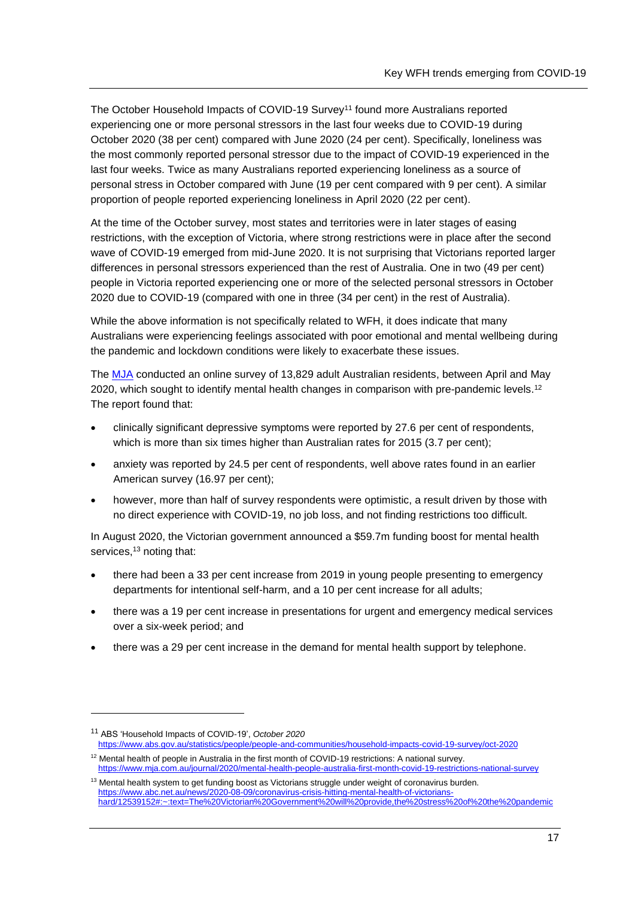The October Household Impacts of COVID-19 Survey<sup>11</sup> found more Australians reported experiencing one or more personal stressors in the last four weeks due to COVID-19 during October 2020 (38 per cent) compared with June 2020 (24 per cent). Specifically, loneliness was the most commonly reported personal stressor due to the impact of COVID-19 experienced in the last four weeks. Twice as many Australians reported experiencing loneliness as a source of personal stress in October compared with June (19 per cent compared with 9 per cent). A similar proportion of people reported experiencing loneliness in April 2020 (22 per cent).

At the time of the October survey, most states and territories were in later stages of easing restrictions, with the exception of Victoria, where strong restrictions were in place after the second wave of COVID-19 emerged from mid-June 2020. It is not surprising that Victorians reported larger differences in personal stressors experienced than the rest of Australia. One in two (49 per cent) people in Victoria reported experiencing one or more of the selected personal stressors in October 2020 due to COVID-19 (compared with one in three (34 per cent) in the rest of Australia).

While the above information is not specifically related to WFH, it does indicate that many Australians were experiencing feelings associated with poor emotional and mental wellbeing during the pandemic and lockdown conditions were likely to exacerbate these issues.

The [MJA](https://www.mja.com.au/journal/2020/mental-health-people-australia-first-month-covid-19-restrictions-national-survey) conducted an online survey of 13,829 adult Australian residents, between April and May 2020, which sought to identify mental health changes in comparison with pre-pandemic levels.<sup>12</sup> The report found that:

- clinically significant depressive symptoms were reported by 27.6 per cent of respondents, which is more than six times higher than Australian rates for 2015 (3.7 per cent);
- anxiety was reported by 24.5 per cent of respondents, well above rates found in an earlier American survey (16.97 per cent);
- however, more than half of survey respondents were optimistic, a result driven by those with no direct experience with COVID-19, no job loss, and not finding restrictions too difficult.

In August 2020, the Victorian government announced a \$59.7m funding boost for mental health services,<sup>13</sup> noting that:

- there had been a 33 per cent increase from 2019 in young people presenting to emergency departments for intentional self-harm, and a 10 per cent increase for all adults;
- there was a 19 per cent increase in presentations for urgent and emergency medical services over a six-week period; and
- there was a 29 per cent increase in the demand for mental health support by telephone.

<sup>11</sup> ABS 'Household Impacts of COVID-19', *October 2020*  <https://www.abs.gov.au/statistics/people/people-and-communities/household-impacts-covid-19-survey/oct-2020>

 $12$  Mental health of people in Australia in the first month of COVID-19 restrictions: A national survey. <https://www.mja.com.au/journal/2020/mental-health-people-australia-first-month-covid-19-restrictions-national-survey>

 $13$  Mental health system to get funding boost as Victorians struggle under weight of coronavirus burden. [https://www.abc.net.au/news/2020-08-09/coronavirus-crisis-hitting-mental-health-of-victorians](https://www.abc.net.au/news/2020-08-09/coronavirus-crisis-hitting-mental-health-of-victorians-hard/12539152#:~:text=The%20Victorian%20Government%20will%20provide,the%20stress%20of%20the%20pandemic)[hard/12539152#:~:text=The%20Victorian%20Government%20will%20provide,the%20stress%20of%20the%20pandemic](https://www.abc.net.au/news/2020-08-09/coronavirus-crisis-hitting-mental-health-of-victorians-hard/12539152#:~:text=The%20Victorian%20Government%20will%20provide,the%20stress%20of%20the%20pandemic)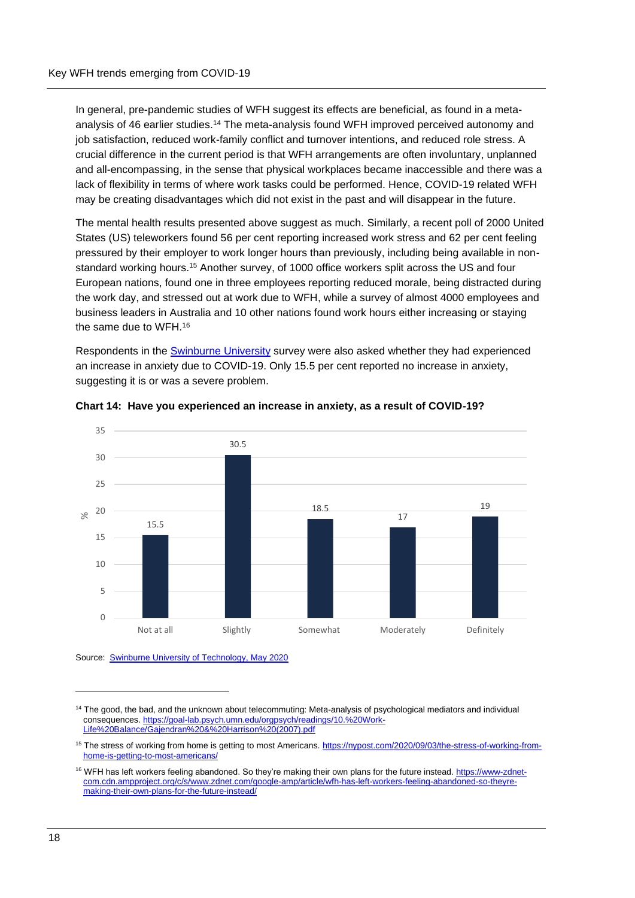In general, pre-pandemic studies of WFH suggest its effects are beneficial, as found in a metaanalysis of 46 earlier studies.<sup>14</sup> The meta-analysis found WFH improved perceived autonomy and job satisfaction, reduced work-family conflict and turnover intentions, and reduced role stress. A crucial difference in the current period is that WFH arrangements are often involuntary, unplanned and all-encompassing, in the sense that physical workplaces became inaccessible and there was a lack of flexibility in terms of where work tasks could be performed. Hence, COVID-19 related WFH may be creating disadvantages which did not exist in the past and will disappear in the future.

The mental health results presented above suggest as much. Similarly, a recent poll of 2000 United States (US) teleworkers found 56 per cent reporting increased work stress and 62 per cent feeling pressured by their employer to work longer hours than previously, including being available in nonstandard working hours.<sup>15</sup> Another survey, of 1000 office workers split across the US and four European nations, found one in three employees reporting reduced morale, being distracted during the work day, and stressed out at work due to WFH, while a survey of almost 4000 employees and business leaders in Australia and 10 other nations found work hours either increasing or staying the same due to WFH.<sup>16</sup>

Respondents in the [Swinburne](https://workflex.solutions/research) University survey were also asked whether they had experienced an increase in anxiety due to COVID-19. Only 15.5 per cent reported no increase in anxiety, suggesting it is or was a severe problem.



#### <span id="page-22-0"></span>**Chart 14: Have you experienced an increase in anxiety, as a result of COVID-19?**

Source: [Swinburne University of Technology, May](https://workflex.solutions/research) 2020

<sup>&</sup>lt;sup>14</sup> The good, the bad, and the unknown about telecommuting: Meta-analysis of psychological mediators and individual consequences. [https://goal-lab.psych.umn.edu/orgpsych/readings/10.%20Work-](https://goal-lab.psych.umn.edu/orgpsych/readings/10.%20Work-Life%20Balance/Gajendran%20&%20Harrison%20(2007).pdf)[Life%20Balance/Gajendran%20&%20Harrison%20\(2007\).pdf](https://goal-lab.psych.umn.edu/orgpsych/readings/10.%20Work-Life%20Balance/Gajendran%20&%20Harrison%20(2007).pdf)

<sup>&</sup>lt;sup>15</sup> The stress of working from home is getting to most Americans[. https://nypost.com/2020/09/03/the-stress-of-working-from](https://nypost.com/2020/09/03/the-stress-of-working-from-home-is-getting-to-most-americans/)[home-is-getting-to-most-americans/](https://nypost.com/2020/09/03/the-stress-of-working-from-home-is-getting-to-most-americans/)

<sup>&</sup>lt;sup>16</sup> WFH has left workers feeling abandoned. So they're making their own plans for the future instead. [https://www-zdnet](https://www-zdnet-com.cdn.ampproject.org/c/s/www.zdnet.com/google-amp/article/wfh-has-left-workers-feeling-abandoned-so-theyre-making-their-own-plans-for-the-future-instead/)[com.cdn.ampproject.org/c/s/www.zdnet.com/google-amp/article/wfh-has-left-workers-feeling-abandoned-so-theyre](https://www-zdnet-com.cdn.ampproject.org/c/s/www.zdnet.com/google-amp/article/wfh-has-left-workers-feeling-abandoned-so-theyre-making-their-own-plans-for-the-future-instead/)[making-their-own-plans-for-the-future-instead/](https://www-zdnet-com.cdn.ampproject.org/c/s/www.zdnet.com/google-amp/article/wfh-has-left-workers-feeling-abandoned-so-theyre-making-their-own-plans-for-the-future-instead/)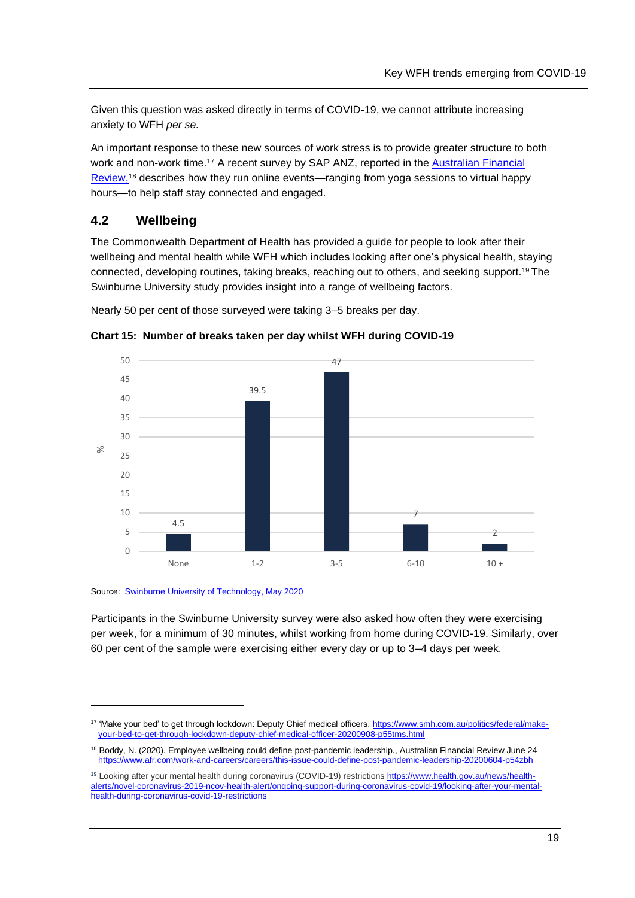Given this question was asked directly in terms of COVID-19, we cannot attribute increasing anxiety to WFH *per se.* 

An important response to these new sources of work stress is to provide greater structure to both work and non-work time.<sup>17</sup> A recent survey by SAP ANZ, reported in the Australian Financial [Review,](https://www.afr.com/work-and-careers/careers/this-issue-could-define-post-pandemic-leadership-20200604-p54zbh)<sup>18</sup> describes how they run online events—ranging from yoga sessions to virtual happy hours—to help staff stay connected and engaged.

## **4.2 Wellbeing**

The Commonwealth Department of Health has provided a guide for people to look after their wellbeing and mental health while WFH which includes looking after one's physical health, staying connected, developing routines, taking breaks, reaching out to others, and seeking support.<sup>19</sup> The Swinburne University study provides insight into a range of wellbeing factors.

Nearly 50 per cent of those surveyed were taking 3–5 breaks per day.



<span id="page-23-0"></span>**Chart 15: Number of breaks taken per day whilst WFH during COVID-19**

#### Source: [Swinburne University of Technology, May 2020](https://workflex.solutions/research)

Participants in the Swinburne University survey were also asked how often they were exercising per week, for a minimum of 30 minutes, whilst working from home during COVID-19. Similarly, over 60 per cent of the sample were exercising either every day or up to 3–4 days per week.

<sup>&</sup>lt;sup>17</sup> 'Make your bed' to get through lockdown: Deputy Chief medical officers[. https://www.smh.com.au/politics/federal/make](https://www.smh.com.au/politics/federal/make-your-bed-to-get-through-lockdown-deputy-chief-medical-officer-20200908-p55tms.html)[your-bed-to-get-through-lockdown-deputy-chief-medical-officer-20200908-p55tms.html](https://www.smh.com.au/politics/federal/make-your-bed-to-get-through-lockdown-deputy-chief-medical-officer-20200908-p55tms.html)

<sup>&</sup>lt;sup>18</sup> Boddy, N. (2020). Employee wellbeing could define post-pandemic leadership., Australian Financial Review June 24 <https://www.afr.com/work-and-careers/careers/this-issue-could-define-post-pandemic-leadership-20200604-p54zbh>

<sup>&</sup>lt;sup>19</sup> Looking after your mental health during coronavirus (COVID-19) restrictions [https://www.health.gov.au/news/health](https://www.health.gov.au/news/health-alerts/novel-coronavirus-2019-ncov-health-alert/ongoing-support-during-coronavirus-covid-19/looking-after-your-mental-health-during-coronavirus-covid-19-restrictions)[alerts/novel-coronavirus-2019-ncov-health-alert/ongoing-support-during-coronavirus-covid-19/looking-after-your-mental](https://www.health.gov.au/news/health-alerts/novel-coronavirus-2019-ncov-health-alert/ongoing-support-during-coronavirus-covid-19/looking-after-your-mental-health-during-coronavirus-covid-19-restrictions)[health-during-coronavirus-covid-19-restrictions](https://www.health.gov.au/news/health-alerts/novel-coronavirus-2019-ncov-health-alert/ongoing-support-during-coronavirus-covid-19/looking-after-your-mental-health-during-coronavirus-covid-19-restrictions)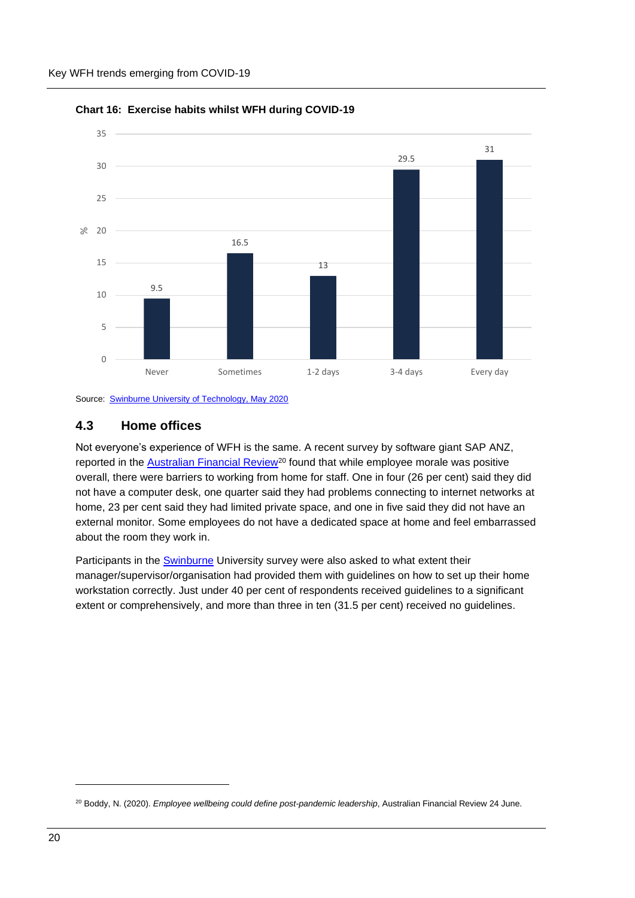

<span id="page-24-0"></span>

Source: [Swinburne University of Technology, May](https://workflex.solutions/research) 2020

#### **4.3 Home offices**

Not everyone's experience of WFH is the same. A recent survey by software giant SAP ANZ, reported in the [Australian Financial Review](https://www.afr.com/work-and-careers/careers/this-issue-could-define-post-pandemic-leadership-20200604-p54zbh)<sup>20</sup> found that while employee morale was positive overall, there were barriers to working from home for staff. One in four (26 per cent) said they did not have a computer desk, one quarter said they had problems connecting to internet networks at home, 23 per cent said they had limited private space, and one in five said they did not have an external monitor. Some employees do not have a dedicated space at home and feel embarrassed about the room they work in.

Participants in the **[Swinburne](https://workflex.solutions/research)** University survey were also asked to what extent their manager/supervisor/organisation had provided them with guidelines on how to set up their home workstation correctly. Just under 40 per cent of respondents received guidelines to a significant extent or comprehensively, and more than three in ten (31.5 per cent) received no guidelines.

<sup>&</sup>lt;sup>20</sup> Boddy, N. (2020). *Employee wellbeing could define post-pandemic leadership*, Australian Financial Review 24 June.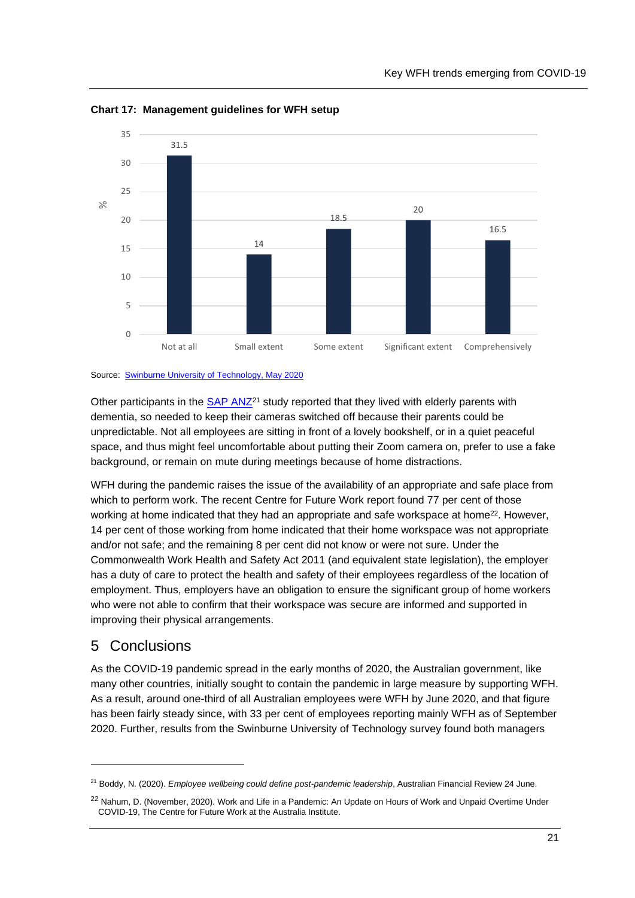

<span id="page-25-0"></span>**Chart 17: Management guidelines for WFH setup**

Source: [Swinburne University of Technology, May](https://workflex.solutions/research) 2020

Other participants in the [SAP ANZ](https://www.afr.com/work-and-careers/careers/this-issue-could-define-post-pandemic-leadership-20200604-p54zbh)<sup>21</sup> study reported that they lived with elderly parents with dementia, so needed to keep their cameras switched off because their parents could be unpredictable. Not all employees are sitting in front of a lovely bookshelf, or in a quiet peaceful space, and thus might feel uncomfortable about putting their Zoom camera on, prefer to use a fake background, or remain on mute during meetings because of home distractions.

WFH during the pandemic raises the issue of the availability of an appropriate and safe place from which to perform work. The recent Centre for Future Work report found 77 per cent of those working at home indicated that they had an appropriate and safe workspace at home<sup>22</sup>. However, 14 per cent of those working from home indicated that their home workspace was not appropriate and/or not safe; and the remaining 8 per cent did not know or were not sure. Under the Commonwealth Work Health and Safety Act 2011 (and equivalent state legislation), the employer has a duty of care to protect the health and safety of their employees regardless of the location of employment. Thus, employers have an obligation to ensure the significant group of home workers who were not able to confirm that their workspace was secure are informed and supported in improving their physical arrangements.

## 5 Conclusions

As the COVID-19 pandemic spread in the early months of 2020, the Australian government, like many other countries, initially sought to contain the pandemic in large measure by supporting WFH. As a result, around one-third of all Australian employees were WFH by June 2020, and that figure has been fairly steady since, with 33 per cent of employees reporting mainly WFH as of September 2020. Further, results from the Swinburne University of Technology survey found both managers

<sup>21</sup> Boddy, N. (2020). *Employee wellbeing could define post-pandemic leadership*, Australian Financial Review 24 June.

<sup>&</sup>lt;sup>22</sup> Nahum, D. (November, 2020). Work and Life in a Pandemic: An Update on Hours of Work and Unpaid Overtime Under COVID-19, The Centre for Future Work at the Australia Institute.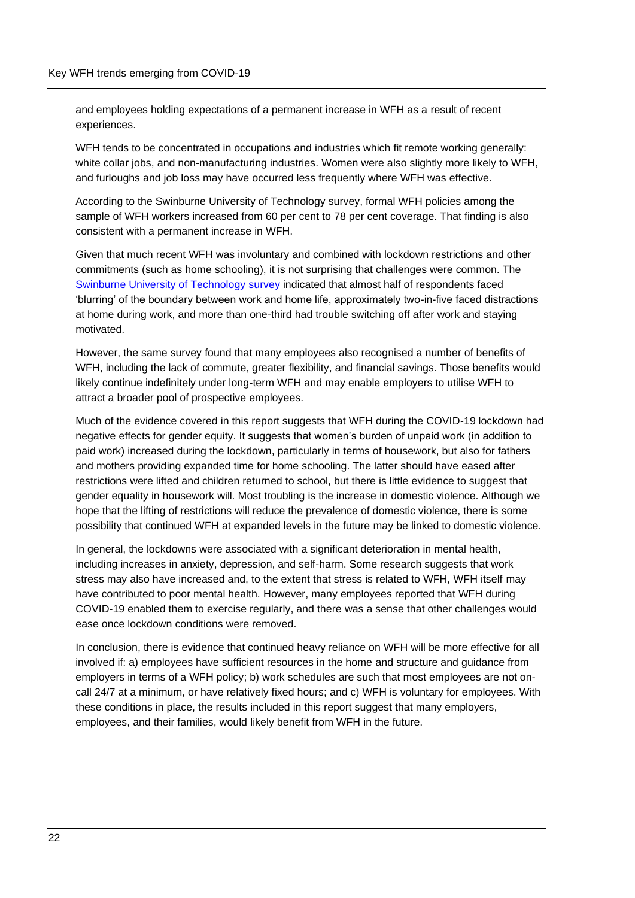and employees holding expectations of a permanent increase in WFH as a result of recent experiences.

WFH tends to be concentrated in occupations and industries which fit remote working generally: white collar jobs, and non-manufacturing industries. Women were also slightly more likely to WFH, and furloughs and job loss may have occurred less frequently where WFH was effective.

According to the Swinburne University of Technology survey, formal WFH policies among the sample of WFH workers increased from 60 per cent to 78 per cent coverage. That finding is also consistent with a permanent increase in WFH.

Given that much recent WFH was involuntary and combined with lockdown restrictions and other commitments (such as home schooling), it is not surprising that challenges were common. The [Swinburne University of Technology survey](https://workflex.solutions/research) indicated that almost half of respondents faced 'blurring' of the boundary between work and home life, approximately two-in-five faced distractions at home during work, and more than one-third had trouble switching off after work and staying motivated.

However, the same survey found that many employees also recognised a number of benefits of WFH, including the lack of commute, greater flexibility, and financial savings. Those benefits would likely continue indefinitely under long-term WFH and may enable employers to utilise WFH to attract a broader pool of prospective employees.

Much of the evidence covered in this report suggests that WFH during the COVID-19 lockdown had negative effects for gender equity. It suggests that women's burden of unpaid work (in addition to paid work) increased during the lockdown, particularly in terms of housework, but also for fathers and mothers providing expanded time for home schooling. The latter should have eased after restrictions were lifted and children returned to school, but there is little evidence to suggest that gender equality in housework will. Most troubling is the increase in domestic violence. Although we hope that the lifting of restrictions will reduce the prevalence of domestic violence, there is some possibility that continued WFH at expanded levels in the future may be linked to domestic violence.

In general, the lockdowns were associated with a significant deterioration in mental health, including increases in anxiety, depression, and self-harm. Some research suggests that work stress may also have increased and, to the extent that stress is related to WFH, WFH itself may have contributed to poor mental health. However, many employees reported that WFH during COVID-19 enabled them to exercise regularly, and there was a sense that other challenges would ease once lockdown conditions were removed.

In conclusion, there is evidence that continued heavy reliance on WFH will be more effective for all involved if: a) employees have sufficient resources in the home and structure and guidance from employers in terms of a WFH policy; b) work schedules are such that most employees are not oncall 24/7 at a minimum, or have relatively fixed hours; and c) WFH is voluntary for employees. With these conditions in place, the results included in this report suggest that many employers, employees, and their families, would likely benefit from WFH in the future.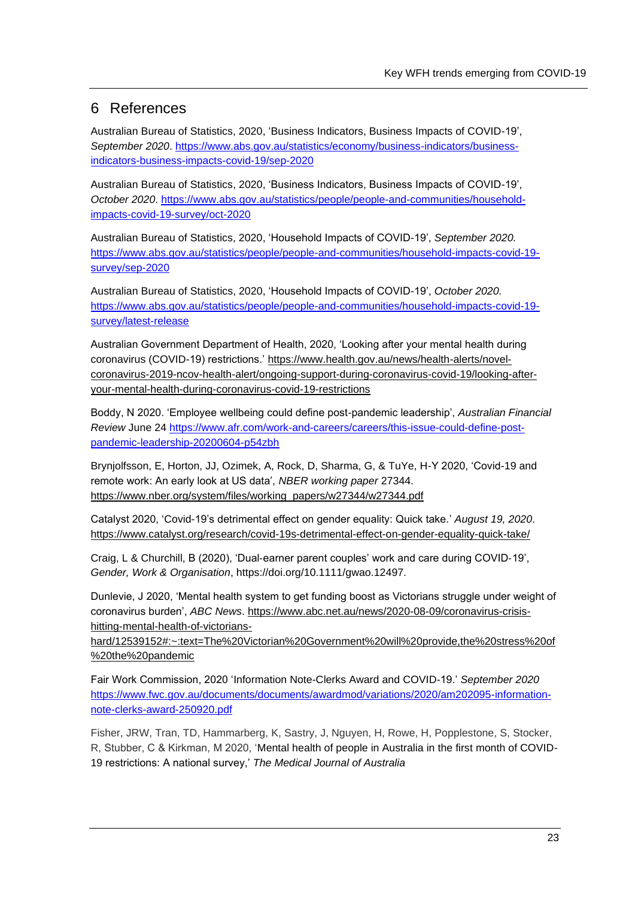## 6 References

Australian Bureau of Statistics, 2020, 'Business Indicators, Business Impacts of COVID-19', *September 2020*. [https://www.abs.gov.au/statistics/economy/business-indicators/business](https://www.abs.gov.au/statistics/economy/business-indicators/business-indicators-business-impacts-covid-19/sep-2020)[indicators-business-impacts-covid-19/sep-2020](https://www.abs.gov.au/statistics/economy/business-indicators/business-indicators-business-impacts-covid-19/sep-2020) 

Australian Bureau of Statistics, 2020, 'Business Indicators, Business Impacts of COVID-19', *October 2020*. [https://www.abs.gov.au/statistics/people/people-and-communities/household](https://www.abs.gov.au/statistics/people/people-and-communities/household-impacts-covid-19-survey/oct-2020)[impacts-covid-19-survey/oct-2020](https://www.abs.gov.au/statistics/people/people-and-communities/household-impacts-covid-19-survey/oct-2020)

Australian Bureau of Statistics, 2020, 'Household Impacts of COVID-19', *September 2020.*  [https://www.abs.gov.au/statistics/people/people-and-communities/household-impacts-covid-19](https://www.abs.gov.au/statistics/people/people-and-communities/household-impacts-covid-19-survey/sep-2020) [survey/sep-2020](https://www.abs.gov.au/statistics/people/people-and-communities/household-impacts-covid-19-survey/sep-2020)

Australian Bureau of Statistics, 2020, 'Household Impacts of COVID-19', *October 2020.*  [https://www.abs.gov.au/statistics/people/people-and-communities/household-impacts-covid-19](https://www.abs.gov.au/statistics/people/people-and-communities/household-impacts-covid-19-survey/latest-release) [survey/latest-release](https://www.abs.gov.au/statistics/people/people-and-communities/household-impacts-covid-19-survey/latest-release)

Australian Government Department of Health, 2020, 'Looking after your mental health during coronavirus (COVID-19) restrictions.' [https://www.health.gov.au/news/health-alerts/novel](https://www.health.gov.au/news/health-alerts/novel-coronavirus-2019-ncov-health-alert/ongoing-support-during-coronavirus-covid-19/looking-after-your-mental-health-during-coronavirus-covid-19-restrictions)[coronavirus-2019-ncov-health-alert/ongoing-support-during-coronavirus-covid-19/looking-after](https://www.health.gov.au/news/health-alerts/novel-coronavirus-2019-ncov-health-alert/ongoing-support-during-coronavirus-covid-19/looking-after-your-mental-health-during-coronavirus-covid-19-restrictions)[your-mental-health-during-coronavirus-covid-19-restrictions](https://www.health.gov.au/news/health-alerts/novel-coronavirus-2019-ncov-health-alert/ongoing-support-during-coronavirus-covid-19/looking-after-your-mental-health-during-coronavirus-covid-19-restrictions)

Boddy, N 2020. 'Employee wellbeing could define post-pandemic leadership', *Australian Financial Review* June 24 [https://www.afr.com/work-and-careers/careers/this-issue-could-define-post](https://www.afr.com/work-and-careers/careers/this-issue-could-define-post-pandemic-leadership-20200604-p54zbh)[pandemic-leadership-20200604-p54zbh](https://www.afr.com/work-and-careers/careers/this-issue-could-define-post-pandemic-leadership-20200604-p54zbh)

Brynjolfsson, E, Horton, JJ, Ozimek, A, Rock, D, Sharma, G, & TuYe, H-Y 2020, 'Covid-19 and remote work: An early look at US data', *NBER working paper* 27344. [https://www.nber.org/system/files/working\\_papers/w27344/w27344.pdf](https://www.nber.org/system/files/working_papers/w27344/w27344.pdf)

Catalyst 2020, 'Covid-19's detrimental effect on gender equality: Quick take.' *August 19, 2020*. <https://www.catalyst.org/research/covid-19s-detrimental-effect-on-gender-equality-quick-take/>

Craig, L & Churchill, B (2020), 'Dual‐earner parent couples' work and care during COVID‐19', *Gender, Work & Organisation*, https://doi.org/10.1111/gwao.12497.

Dunlevie, J 2020, 'Mental health system to get funding boost as Victorians struggle under weight of coronavirus burden', *ABC News*. [https://www.abc.net.au/news/2020-08-09/coronavirus-crisis](https://www.abc.net.au/news/2020-08-09/coronavirus-crisis-hitting-mental-health-of-victorians-hard/12539152#:~:text=The%20Victorian%20Government%20will%20provide,the%20stress%20of%20the%20pandemic)[hitting-mental-health-of-victorians-](https://www.abc.net.au/news/2020-08-09/coronavirus-crisis-hitting-mental-health-of-victorians-hard/12539152#:~:text=The%20Victorian%20Government%20will%20provide,the%20stress%20of%20the%20pandemic)

[hard/12539152#:~:text=The%20Victorian%20Government%20will%20provide,the%20stress%20of](https://www.abc.net.au/news/2020-08-09/coronavirus-crisis-hitting-mental-health-of-victorians-hard/12539152#:~:text=The%20Victorian%20Government%20will%20provide,the%20stress%20of%20the%20pandemic) [%20the%20pandemic](https://www.abc.net.au/news/2020-08-09/coronavirus-crisis-hitting-mental-health-of-victorians-hard/12539152#:~:text=The%20Victorian%20Government%20will%20provide,the%20stress%20of%20the%20pandemic)

Fair Work Commission, 2020 'Information Note-Clerks Award and COVID-19.' *September 2020*  [https://www.fwc.gov.au/documents/documents/awardmod/variations/2020/am202095-information](https://www.fwc.gov.au/documents/documents/awardmod/variations/2020/am202095-information-note-clerks-award-250920.pdf)[note-clerks-award-250920.pdf](https://www.fwc.gov.au/documents/documents/awardmod/variations/2020/am202095-information-note-clerks-award-250920.pdf)

Fisher, JRW, Tran, TD, Hammarberg, K, Sastry, J, Nguyen, H, Rowe, H, Popplestone, S, Stocker, R, Stubber, C & Kirkman, M 2020, 'Mental health of people in Australia in the first month of COVID-19 restrictions: A national survey,' *The Medical Journal of Australia*